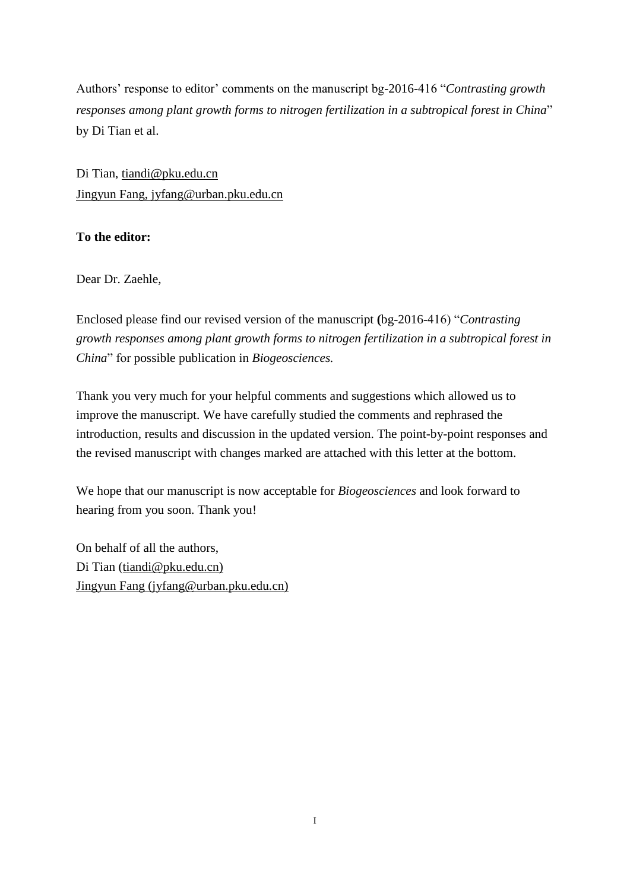Authors' response to editor' comments on the manuscript bg-2016-416 "*Contrasting growth responses among plant growth forms to nitrogen fertilization in a subtropical forest in China*" by Di Tian et al.

Di Tian, [tiandi@pku.edu.cn](mailto:tiandi@pku.edu.cn) Jingyun Fang, jyfang@urban.pku.edu.cn

## **To the editor:**

Dear Dr. Zaehle,

Enclosed please find our revised version of the manuscript **(**bg-2016-416) "*Contrasting growth responses among plant growth forms to nitrogen fertilization in a subtropical forest in China*" for possible publication in *Biogeosciences.*

Thank you very much for your helpful comments and suggestions which allowed us to improve the manuscript. We have carefully studied the comments and rephrased the introduction, results and discussion in the updated version. The point-by-point responses and the revised manuscript with changes marked are attached with this letter at the bottom.

We hope that our manuscript is now acceptable for *Biogeosciences* and look forward to hearing from you soon. Thank you!

On behalf of all the authors, Di Tian [\(tiandi@pku.edu.cn\)](mailto:tiandi@pku.edu.cn) Jingyun Fang (jyfang@urban.pku.edu.cn)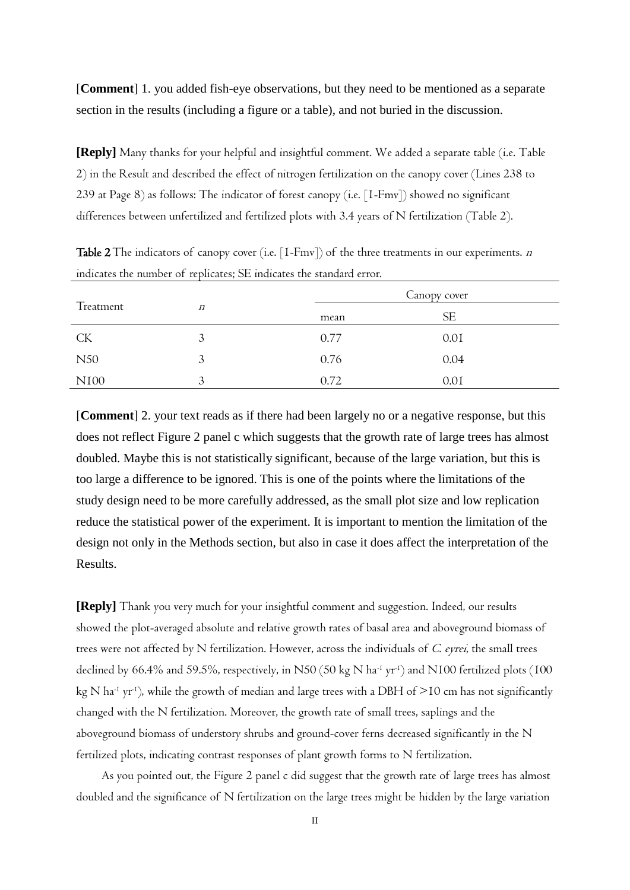[**Comment**] 1. you added fish-eye observations, but they need to be mentioned as a separate section in the results (including a figure or a table), and not buried in the discussion.

**[Reply]** Many thanks for your helpful and insightful comment. We added a separate table (i.e. Table 2) in the Result and described the effect of nitrogen fertilization on the canopy cover (Lines 238 to 239 at Page 8) as follows: The indicator of forest canopy (i.e. [1-Fmv]) showed no significant differences between unfertilized and fertilized plots with 3.4 years of N fertilization (Table 2).

|                  | $\boldsymbol{n}$ | Canopy cover |           |  |
|------------------|------------------|--------------|-----------|--|
| Treatment        |                  | mean         | <b>SE</b> |  |
| <b>CK</b>        | 3                | 0.77         | 0.01      |  |
| N50              | 3                | 0.76         | 0.04      |  |
| N <sub>I00</sub> | 3                | 0.72         | 0.01      |  |

**Table 2** The indicators of canopy cover (i.e.  $[1-Fmv]$ ) of the three treatments in our experiments. *n* indicates the number of replicates; SE indicates the standard error.

[**Comment**] 2. your text reads as if there had been largely no or a negative response, but this does not reflect Figure 2 panel c which suggests that the growth rate of large trees has almost doubled. Maybe this is not statistically significant, because of the large variation, but this is too large a difference to be ignored. This is one of the points where the limitations of the study design need to be more carefully addressed, as the small plot size and low replication reduce the statistical power of the experiment. It is important to mention the limitation of the design not only in the Methods section, but also in case it does affect the interpretation of the Results.

**[Reply]** Thank you very much for your insightful comment and suggestion. Indeed, our results showed the plot-averaged absolute and relative growth rates of basal area and aboveground biomass of trees were not affected by N fertilization. However, across the individuals of C. eyrei, the small trees declined by 66.4% and 59.5%, respectively, in N50 (50 kg N ha-1 yr-1 ) and N100 fertilized plots (100 kg N ha<sup>-1</sup> yr<sup>-1</sup>), while the growth of median and large trees with a DBH of  $>$ 10 cm has not significantly changed with the N fertilization. Moreover, the growth rate of small trees, saplings and the aboveground biomass of understory shrubs and ground-cover ferns decreased significantly in the N fertilized plots, indicating contrast responses of plant growth forms to N fertilization.

As you pointed out, the Figure 2 panel c did suggest that the growth rate of large trees has almost doubled and the significance of N fertilization on the large trees might be hidden by the large variation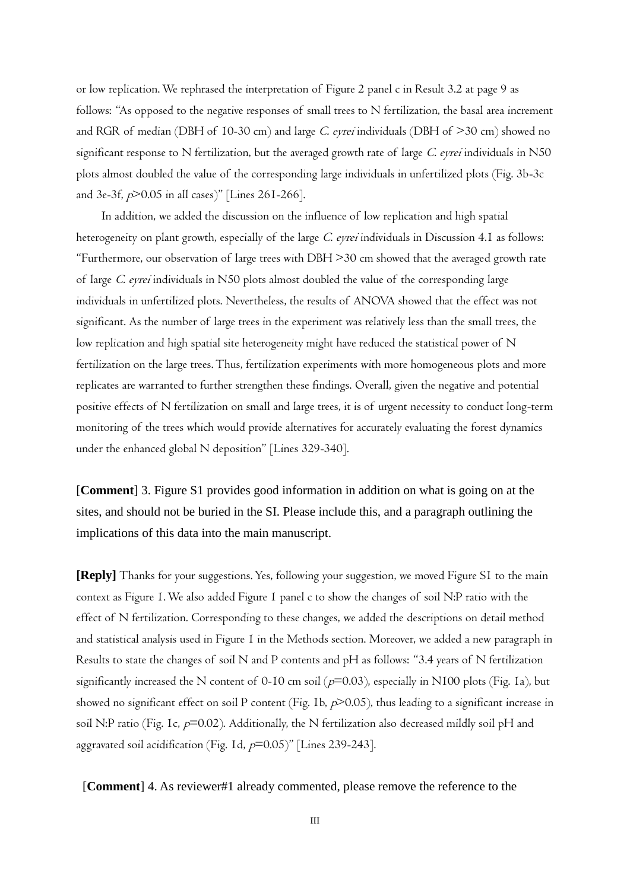or low replication. We rephrased the interpretation of Figure 2 panel c in Result 3.2 at page 9 as follows: "As opposed to the negative responses of small trees to N fertilization, the basal area increment and RGR of median (DBH of 10-30 cm) and large C. eyrei individuals (DBH of  $>$ 30 cm) showed no significant response to N fertilization, but the averaged growth rate of large C. eyrei individuals in N50 plots almost doubled the value of the corresponding large individuals in unfertilized plots (Fig. 3b-3c and 3e-3f,  $p$ >0.05 in all cases)" [Lines 261-266].

In addition, we added the discussion on the influence of low replication and high spatial heterogeneity on plant growth, especially of the large C. eyrei individuals in Discussion 4.1 as follows: "Furthermore, our observation of large trees with DBH >30 cm showed that the averaged growth rate of large C. eyrei individuals in N50 plots almost doubled the value of the corresponding large individuals in unfertilized plots. Nevertheless, the results of ANOVA showed that the effect was not significant. As the number of large trees in the experiment was relatively less than the small trees, the low replication and high spatial site heterogeneity might have reduced the statistical power of N fertilization on the large trees. Thus, fertilization experiments with more homogeneous plots and more replicates are warranted to further strengthen these findings. Overall, given the negative and potential positive effects of N fertilization on small and large trees, it is of urgent necessity to conduct long-term monitoring of the trees which would provide alternatives for accurately evaluating the forest dynamics under the enhanced global N deposition" [Lines 329-340].

[**Comment**] 3. Figure S1 provides good information in addition on what is going on at the sites, and should not be buried in the SI. Please include this, and a paragraph outlining the implications of this data into the main manuscript.

**[Reply]** Thanks for your suggestions. Yes, following your suggestion, we moved Figure S1 to the main context as Figure 1. We also added Figure 1 panel c to show the changes of soil N:P ratio with the effect of N fertilization. Corresponding to these changes, we added the descriptions on detail method and statistical analysis used in Figure 1 in the Methods section. Moreover, we added a new paragraph in Results to state the changes of soil N and P contents and pH as follows: "3.4 years of N fertilization significantly increased the N content of 0-10 cm soil ( $p=0.03$ ), especially in N100 plots (Fig. 1a), but showed no significant effect on soil P content (Fig. 1b,  $p$  $>$ 0.05), thus leading to a significant increase in soil N:P ratio (Fig. 1c,  $p=0.02$ ). Additionally, the N fertilization also decreased mildly soil pH and aggravated soil acidification (Fig. 1d,  $p=0.05$ )" [Lines 239-243].

[**Comment**] 4. As reviewer#1 already commented, please remove the reference to the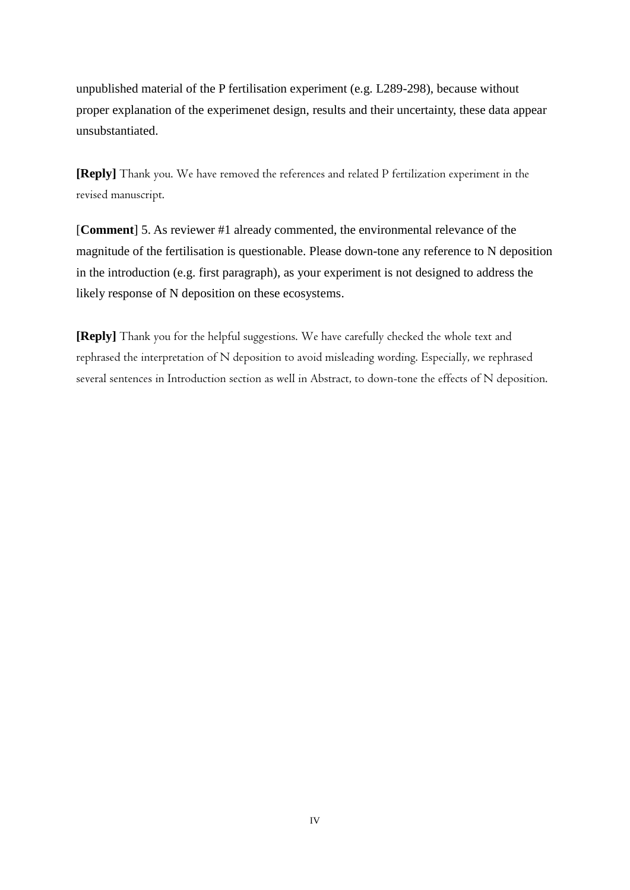unpublished material of the P fertilisation experiment (e.g. L289-298), because without proper explanation of the experimenet design, results and their uncertainty, these data appear unsubstantiated.

**[Reply]** Thank you. We have removed the references and related P fertilization experiment in the revised manuscript.

[**Comment**] 5. As reviewer #1 already commented, the environmental relevance of the magnitude of the fertilisation is questionable. Please down-tone any reference to N deposition in the introduction (e.g. first paragraph), as your experiment is not designed to address the likely response of N deposition on these ecosystems.

**[Reply]** Thank you for the helpful suggestions. We have carefully checked the whole text and rephrased the interpretation of N deposition to avoid misleading wording. Especially, we rephrased several sentences in Introduction section as well in Abstract, to down-tone the effects of N deposition.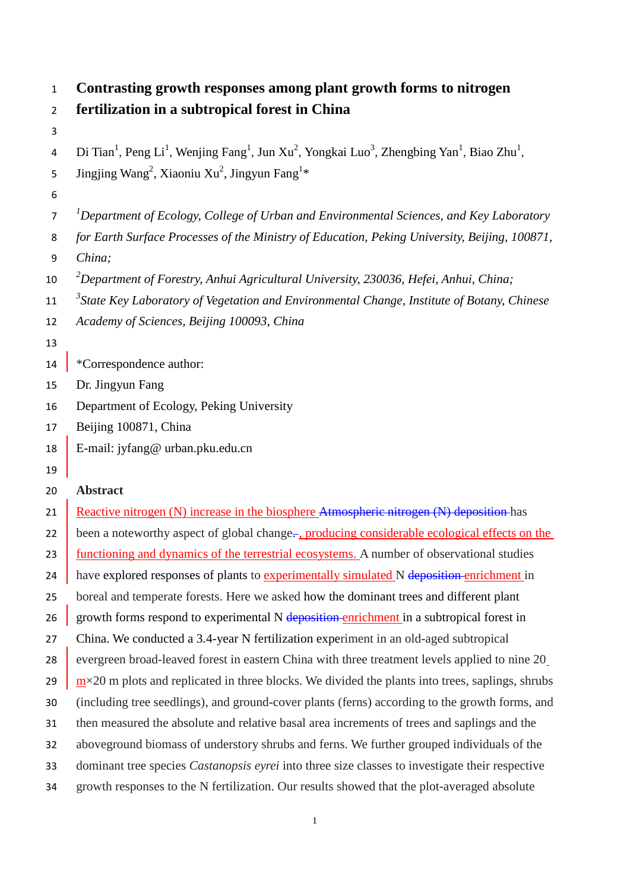| Contrasting growth responses among plant growth forms to nitrogen |  |
|-------------------------------------------------------------------|--|
|                                                                   |  |

|  |  |  | 2 fertilization in a subtropical forest in China |  |  |
|--|--|--|--------------------------------------------------|--|--|
|--|--|--|--------------------------------------------------|--|--|

- 
- 4 Di Tian<sup>1</sup>, Peng Li<sup>1</sup>, Wenjing Fang<sup>1</sup>, Jun Xu<sup>2</sup>, Yongkai Luo<sup>3</sup>, Zhengbing Yan<sup>1</sup>, Biao Zhu<sup>1</sup>,
- 5 Jingjing Wang<sup>2</sup>, Xiaoniu Xu<sup>2</sup>, Jingyun Fang<sup>1\*</sup>
- 
- *1 Department of Ecology, College of Urban and Environmental Sciences, and Key Laboratory*
- *for Earth Surface Processes of the Ministry of Education, Peking University, Beijing, 100871,*
- *China;*
- *2 Department of Forestry, Anhui Agricultural University, 230036, Hefei, Anhui, China;*
- *3 State Key Laboratory of Vegetation and Environmental Change, Institute of Botany, Chinese*
- *Academy of Sciences, Beijing 100093, China*
- 
- **\*Correspondence author:**
- Dr. Jingyun Fang
- Department of Ecology, Peking University
- Beijing 100871, China
- E-mail: [jyfang@ urban.pku.edu.cn](mailto:jyfang@urban.pku.edu.cn)
- 

### **Abstract**

21 Reactive nitrogen  $(N)$  increase in the biosphere Atmospheric nitrogen  $(N)$  deposition has 22 been a noteworthy aspect of global change-, producing considerable ecological effects on the 23 functioning and dynamics of the terrestrial ecosystems. A number of observational studies 24 have explored responses of plants to experimentally simulated N deposition enrichment in boreal and temperate forests. Here we asked how the dominant trees and different plant 26 growth forms respond to experimental N  $\frac{deposition}{enrichment}$  in a subtropical forest in China. We conducted a 3.4-year N fertilization experiment in an old-aged subtropical 28 evergreen broad-leaved forest in eastern China with three treatment levels applied to nine 20 29 m $\times$ 20 m plots and replicated in three blocks. We divided the plants into trees, saplings, shrubs (including tree seedlings), and ground-cover plants (ferns) according to the growth forms, and then measured the absolute and relative basal area increments of trees and saplings and the aboveground biomass of understory shrubs and ferns. We further grouped individuals of the dominant tree species *Castanopsis eyrei* into three size classes to investigate their respective growth responses to the N fertilization. Our results showed that the plot-averaged absolute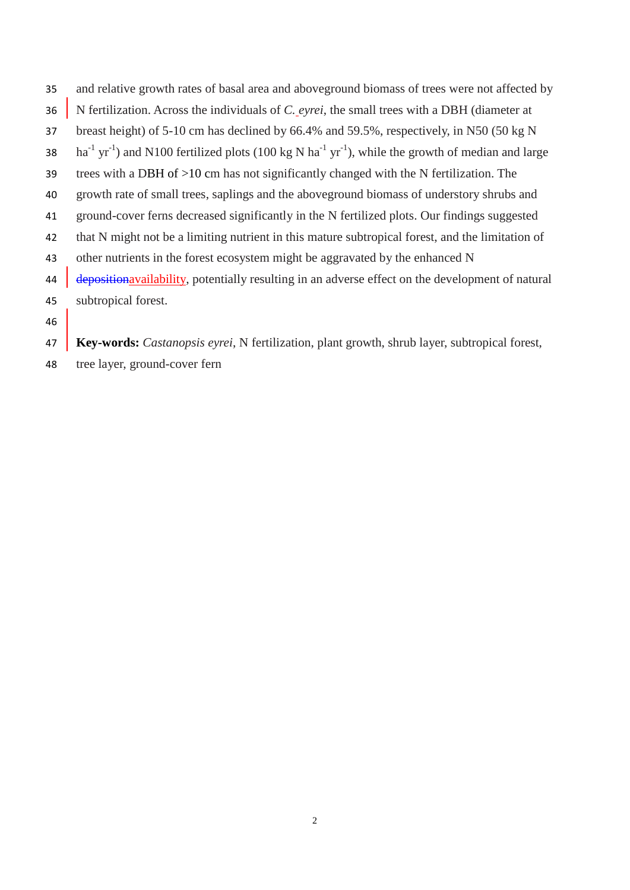- and relative growth rates of basal area and aboveground biomass of trees were not affected by N fertilization. Across the individuals of *C. eyrei*, the small trees with a DBH (diameter at breast height) of 5-10 cm has declined by 66.4% and 59.5%, respectively, in N50 (50 kg N 38 ha<sup>-1</sup> yr<sup>-1</sup>) and N100 fertilized plots (100 kg N ha<sup>-1</sup> yr<sup>-1</sup>), while the growth of median and large trees with a DBH of >10 cm has not significantly changed with the N fertilization. The growth rate of small trees, saplings and the aboveground biomass of understory shrubs and ground-cover ferns decreased significantly in the N fertilized plots. Our findings suggested that N might not be a limiting nutrient in this mature subtropical forest, and the limitation of other nutrients in the forest ecosystem might be aggravated by the enhanced N 44 depositionavailability, potentially resulting in an adverse effect on the development of natural subtropical forest.
- 

**Key-words:** *Castanopsis eyrei*, N fertilization, plant growth, shrub layer, subtropical forest,

tree layer, ground-cover fern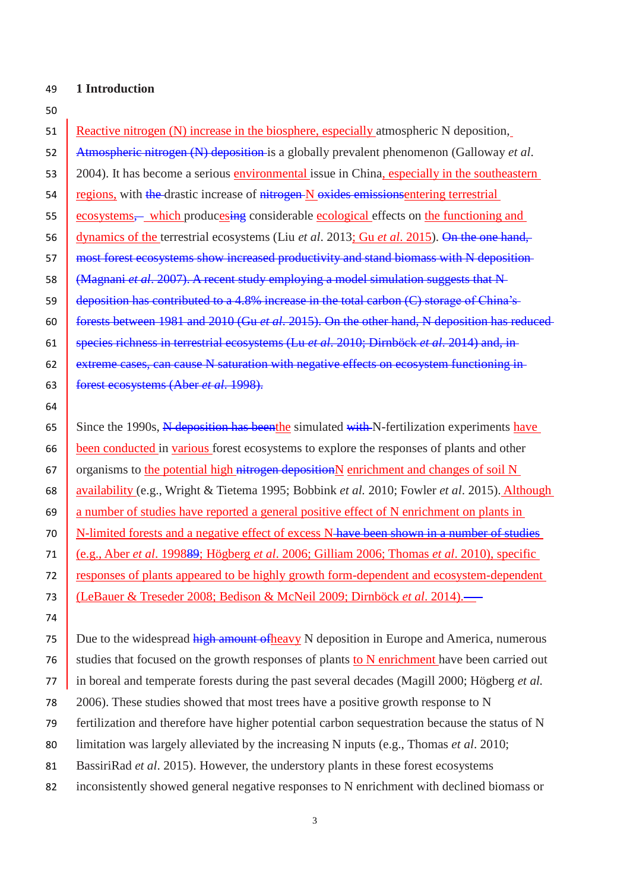#### **1 Introduction**

51 Reactive nitrogen (N) increase in the biosphere, especially atmospheric N deposition, Atmospheric nitrogen (N) deposition is a globally prevalent phenomenon (Galloway *et al*. 2004). It has become a serious environmental issue in China, especially in the southeastern 54 regions, with the drastic increase of nitrogen N oxides emissions entering terrestrial ecosystems,— which producesing considerable ecological effects on the functioning and dynamics of the terrestrial ecosystems (Liu *et al*. 2013; Gu *et al*. 2015). On the one hand, 57 most forest ecosystems show increased productivity and stand biomass with N deposition- (Magnani *et al*. 2007). A recent study employing a model simulation suggests that N 59 deposition has contributed to a 4.8% increase in the total carbon  $(C)$  storage of China's forests between 1981 and 2010 (Gu *et al*. 2015). On the other hand, N deposition has reduced species richness in terrestrial ecosystems (Lu *et al*. 2010; Dirnböck *et al*. 2014) and, in **extreme cases, can cause N saturation with negative effects on ecosystem functioning in-** forest ecosystems (Aber *et al*. 1998). 65 Since the 1990s, N deposition has beenthe simulated with N-fertilization experiments have

 been conducted in various forest ecosystems to explore the responses of plants and other 67 organisms to the potential high nitrogen deposition N enrichment and changes of soil N availability (e.g., Wright & Tietema 1995; Bobbink *et al.* 2010; Fowler *et al*. 2015). Although a number of studies have reported a general positive effect of N enrichment on plants in 70 N-limited forests and a negative effect of excess N-have been shown in a number of studies (e.g., Aber *et al*. 199889; Högberg *et al*. 2006; Gilliam 2006; Thomas *et al*. 2010), specific responses of plants appeared to be highly growth form-dependent and ecosystem-dependent (LeBauer & Treseder 2008; Bedison & McNeil 2009; Dirnböck *et al*. 2014).

75 Due to the widespread high amount of heavy N deposition in Europe and America, numerous studies that focused on the growth responses of plants to N enrichment have been carried out in boreal and temperate forests during the past several decades (Magill 2000; Högberg *et al.* 2006). These studies showed that most trees have a positive growth response to N fertilization and therefore have higher potential carbon sequestration because the status of N limitation was largely alleviated by the increasing N inputs (e.g., Thomas *et al*. 2010; BassiriRad *et al*. 2015). However, the understory plants in these forest ecosystems

inconsistently showed general negative responses to N enrichment with declined biomass or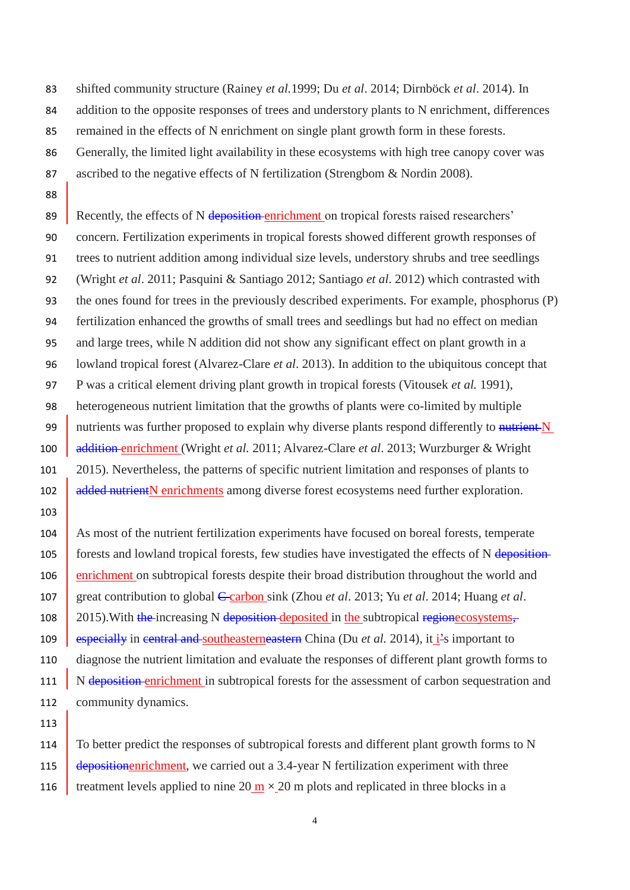shifted community structure (Rainey *et al.*1999; Du *et al*. 2014; Dirnböck *et al*. 2014). In 84 addition to the opposite responses of trees and understory plants to N enrichment, differences remained in the effects of N enrichment on single plant growth form in these forests. Generally, the limited light availability in these ecosystems with high tree canopy cover was ascribed to the negative effects of N fertilization (Strengbom & Nordin 2008).

89 Recently, the effects of N deposition enrichment on tropical forests raised researchers' concern. Fertilization experiments in tropical forests showed different growth responses of trees to nutrient addition among individual size levels, understory shrubs and tree seedlings (Wright *et al*. 2011; Pasquini & Santiago 2012; Santiago *et al*. 2012) which contrasted with the ones found for trees in the previously described experiments. For example, phosphorus (P) fertilization enhanced the growths of small trees and seedlings but had no effect on median and large trees, while N addition did not show any significant effect on plant growth in a lowland tropical forest (Alvarez-Clare *et al*. 2013). In addition to the ubiquitous concept that P was a critical element driving plant growth in tropical forests (Vitousek *et al.* 1991), heterogeneous nutrient limitation that the growths of plants were co-limited by multiple 99 nutrients was further proposed to explain why diverse plants respond differently to nutrient N addition enrichment (Wright *et al.* 2011; Alvarez-Clare *et al*. 2013; Wurzburger & Wright 2015). Nevertheless, the patterns of specific nutrient limitation and responses of plants to **added nutrient N** enrichments among diverse forest ecosystems need further exploration.

104 As most of the nutrient fertilization experiments have focused on boreal forests, temperate 105 forests and lowland tropical forests, few studies have investigated the effects of N deposition- enrichment on subtropical forests despite their broad distribution throughout the world and 107 great contribution to global C carbon sink (Zhou *et al.* 2013; Yu *et al.* 2014; Huang *et al.* 108 2015). With the increasing N deposition deposited in the subtropical regionecosystems, **especially in central and southeasterneastern** China (Du *et al.* 2014), it *i*'s important to diagnose the nutrient limitation and evaluate the responses of different plant growth forms to 111 N deposition enrichment in subtropical forests for the assessment of carbon sequestration and community dynamics.

114 To better predict the responses of subtropical forests and different plant growth forms to N **depositionenrichment**, we carried out a 3.4-year N fertilization experiment with three 116 treatment levels applied to nine 20  $\text{m} \times 20$  m plots and replicated in three blocks in a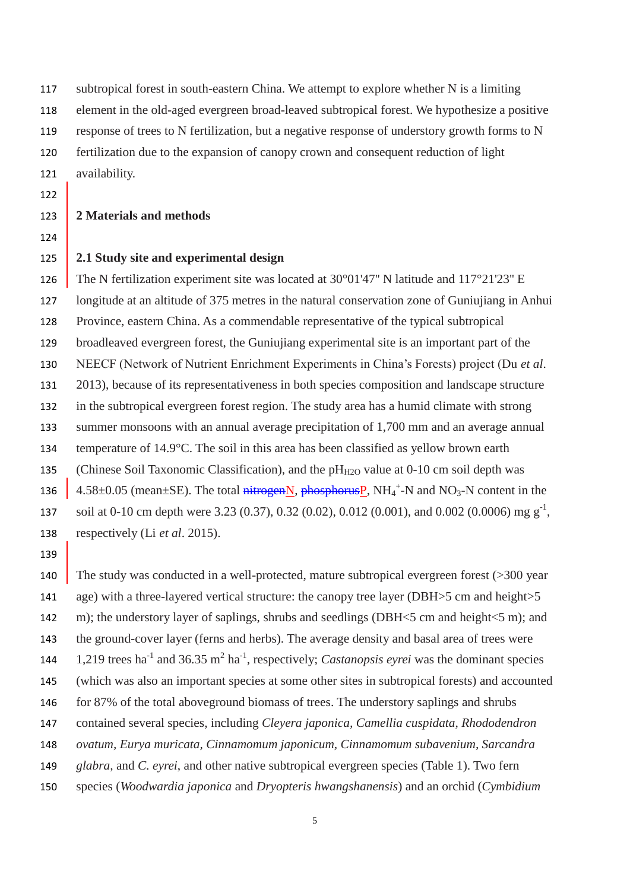subtropical forest in south-eastern China. We attempt to explore whether N is a limiting element in the old-aged evergreen broad-leaved subtropical forest. We hypothesize a positive response of trees to N fertilization, but a negative response of understory growth forms to N fertilization due to the expansion of canopy crown and consequent reduction of light availability.

#### 

## **2 Materials and methods**

#### **2.1 Study site and experimental design**

 The N fertilization experiment site was located at 30°01'47'' N latitude and 117°21'23'' E longitude at an altitude of 375 metres in the natural conservation zone of Guniujiang in Anhui Province, eastern China. As a commendable representative of the typical subtropical broadleaved evergreen forest, the Guniujiang experimental site is an important part of the NEECF (Network of Nutrient Enrichment Experiments in China's Forests) project (Du *et al*. 2013), because of its representativeness in both species composition and landscape structure in the subtropical evergreen forest region. The study area has a humid climate with strong summer monsoons with an annual average precipitation of 1,700 mm and an average annual 134 temperature of 14.9 °C. The soil in this area has been classified as yellow brown earth 135 (Chinese Soil Taxonomic Classification), and the  $pH_{H2O}$  value at 0-10 cm soil depth was  $\parallel$  4.58 $\pm$ 0.05 (mean  $\pm$ SE). The total nitrogen N, phosphorus P, NH<sub>4</sub><sup>+</sup>-N and NO<sub>3</sub>-N content in the soil at 0-10 cm depth were 3.23 (0.37), 0.32 (0.02), 0.012 (0.001), and 0.002 (0.0006) mg  $g^{-1}$ , respectively (Li *et al*. 2015).

140 The study was conducted in a well-protected, mature subtropical evergreen forest (>300 year 141 age) with a three-layered vertical structure: the canopy tree layer (DBH $>5$  cm and height $>5$ 142 m); the understory layer of saplings, shrubs and seedlings (DBH<5 cm and height<5 m); and the ground-cover layer (ferns and herbs). The average density and basal area of trees were  $\,$  1,219 trees ha<sup>-1</sup> and 36.35 m<sup>2</sup> ha<sup>-1</sup>, respectively; *Castanopsis eyrei* was the dominant species (which was also an important species at some other sites in subtropical forests) and accounted for 87% of the total aboveground biomass of trees. The understory saplings and shrubs contained several species, including *Cleyera japonica, Camellia cuspidata, Rhododendron ovatum, Eurya muricata, Cinnamomum japonicum, Cinnamomum subavenium, Sarcandra glabra,* and *C. eyrei*, and other native subtropical evergreen species (Table 1). Two fern species (*Woodwardia japonica* and *Dryopteris hwangshanensis*) and an orchid (*Cymbidium*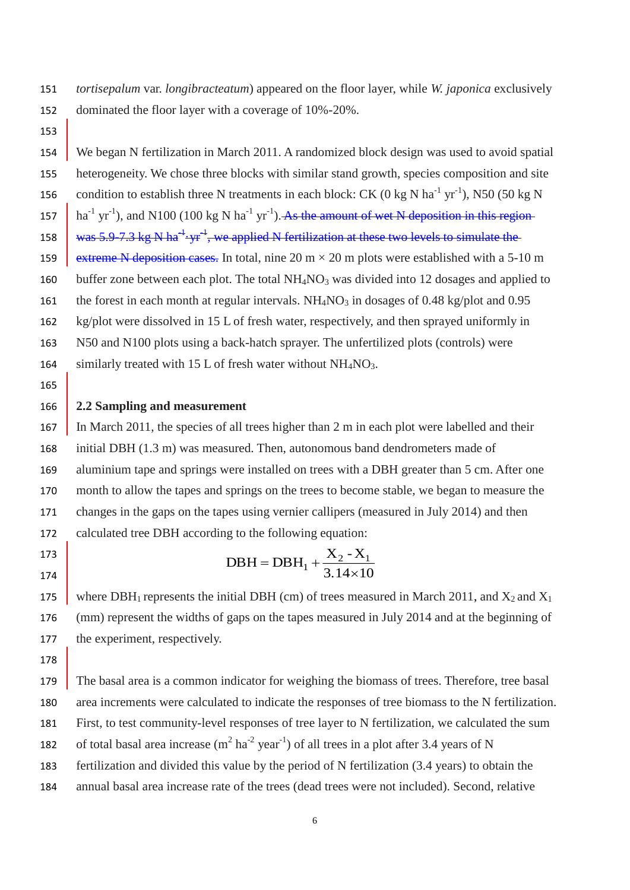*tortisepalum* var. *longibracteatum*) appeared on the floor layer, while *W. japonica* exclusively dominated the floor layer with a coverage of 10%-20%.

 We began N fertilization in March 2011. A randomized block design was used to avoid spatial heterogeneity. We chose three blocks with similar stand growth, species composition and site 156 condition to establish three N treatments in each block: CK (0 kg N ha<sup>-1</sup> yr<sup>-1</sup>), N50 (50 kg N 157  $\int$  ha<sup>-1</sup> yr<sup>-1</sup>), and N100 (100 kg N ha<sup>-1</sup> yr<sup>-1</sup>). As the amount of wet N deposition in this region 158  $\frac{1}{2}$  was 5.9–7.3 kg N ha<sup>-1</sup>-yr<sup>-1</sup>, we applied N fertilization at these two levels to simulate the 159 extreme N deposition cases. In total, nine 20 m  $\times$  20 m plots were established with a 5-10 m 160 buffer zone between each plot. The total  $NH<sub>4</sub>NO<sub>3</sub>$  was divided into 12 dosages and applied to 161 the forest in each month [at](javascript:void(0);) [regular](javascript:void(0);) [intervals.](javascript:void(0);)  $NH<sub>4</sub>NO<sub>3</sub>$  in dosages of 0.48 kg/plot and 0.95 kg/plot were dissolved in 15 L of fresh water, respectively, and then sprayed uniformly in N50 and N100 plots using a back-hatch sprayer. The unfertilized plots (controls) were 164 similarly treated with 15 L of fresh water without  $NH<sub>4</sub>NO<sub>3</sub>$ . 

## **2.2 Sampling and measurement**

167 In March 2011, the species of all trees higher than 2 m in each plot were labelled and their initial DBH (1.3 m) was measured. Then, autonomous band dendrometers made of aluminium tape and springs were installed on trees with a DBH greater than 5 cm. After one month to allow the tapes and springs on the trees to become stable, we began to measure the changes in the gaps on the tapes using vernier callipers (measured in July 2014) and then calculated tree DBH according to the following equation:

 

DBH = DBH<sub>1</sub> + 
$$
\frac{X_2 - X_1}{3.14 \times 10}
$$

175 where DBH<sub>1</sub> represents the initial DBH (cm) of trees measured in March 2011, and  $X_2$  and  $X_1$  (mm) represent the widths of gaps on the tapes measured in July 2014 and at the beginning of the experiment, respectively.

 The basal area is a common indicator for weighing the biomass of trees. Therefore, tree basal area increments were calculated to indicate the responses of tree biomass to the N fertilization. First, to test community-level responses of tree layer to N fertilization, we calculated the sum 182 of total basal area increase  $(m^2 \text{ ha}^{-2} \text{ year}^{-1})$  of all trees in a plot after 3.4 years of N fertilization and divided this value by the period of N fertilization (3.4 years) to obtain the annual basal area increase rate of the trees (dead trees were not included). Second, relative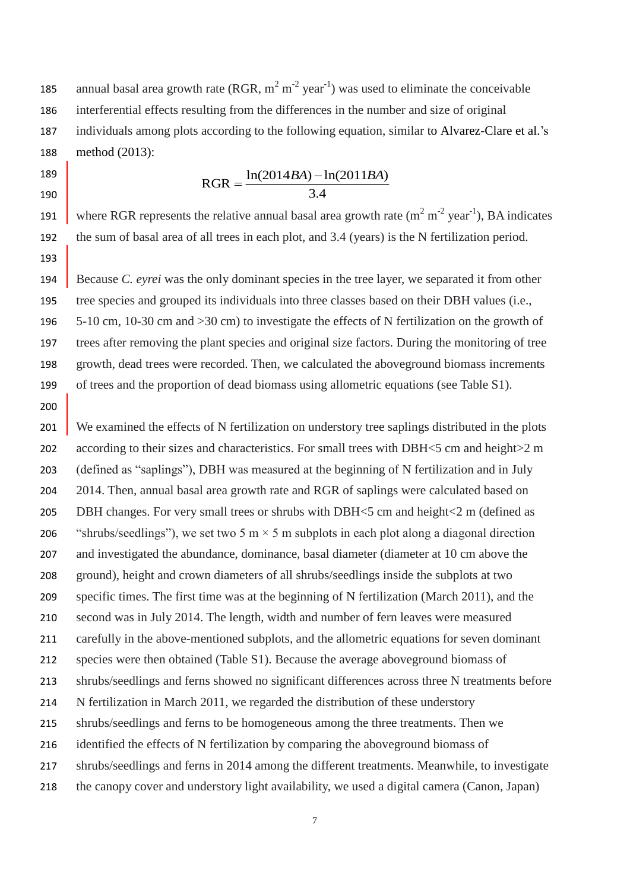185 annual basal area growth rate (RGR,  $m^2 m^{-2}$  year<sup>-1</sup>) was used to eliminate the conceivable interferential effects resulting from the differences in the number and size of original individuals among plots according to the following equation, similar to Alvarez-Clare et al.'s method (2013):

 

## 3.4  $RGR = \frac{\ln(2014BA) - \ln(2011BA)}{B}$

191 where RGR represents the relative annual basal area growth rate  $(m^2 m^2 year^{-1})$ , BA indicates the sum of basal area of all trees in each plot, and 3.4 (years) is the N fertilization period. 

 Because *C. eyrei* was the only dominant species in the tree layer, we separated it from other tree species and grouped its individuals into three classes based on their DBH values (i.e., 5-10 cm, 10-30 cm and >30 cm) to investigate the effects of N fertilization on the growth of trees after removing the plant species and original size factors. During the monitoring of tree growth, dead trees were recorded. Then, we calculated the aboveground biomass increments of trees and the proportion of dead biomass using allometric equations (see Table S1).

201 We examined the effects of N fertilization on understory tree saplings distributed in the plots 202 according to their sizes and characteristics. For small trees with DBH<5 cm and height>2 m (defined as "saplings"), DBH was measured at the beginning of N fertilization and in July 2014. Then, annual basal area growth rate and RGR of saplings were calculated based on DBH changes. For very small trees or shrubs with DBH<5 cm and height<2 m (defined as 206 "shrubs/seedlings"), we set two 5 m  $\times$  5 m subplots in each plot along a diagonal direction and investigated the abundance, dominance, basal diameter (diameter at 10 cm above the ground), height and crown diameters of all shrubs/seedlings inside the subplots at two specific times. The first time was at the beginning of N fertilization (March 2011), and the second was in July 2014. The length, width and number of fern leaves were measured carefully in the above-mentioned subplots, and the allometric equations for seven dominant species were then obtained (Table S1). Because the average aboveground biomass of shrubs/seedlings and ferns showed no significant differences across three N treatments before N fertilization in March 2011, we regarded the distribution of these understory shrubs/seedlings and ferns to be homogeneous among the three treatments. Then we identified the effects of N fertilization by comparing the aboveground biomass of shrubs/seedlings and ferns in 2014 among the different treatments. Meanwhile, to investigate the canopy cover and understory light availability, we used a digital camera (Canon, Japan)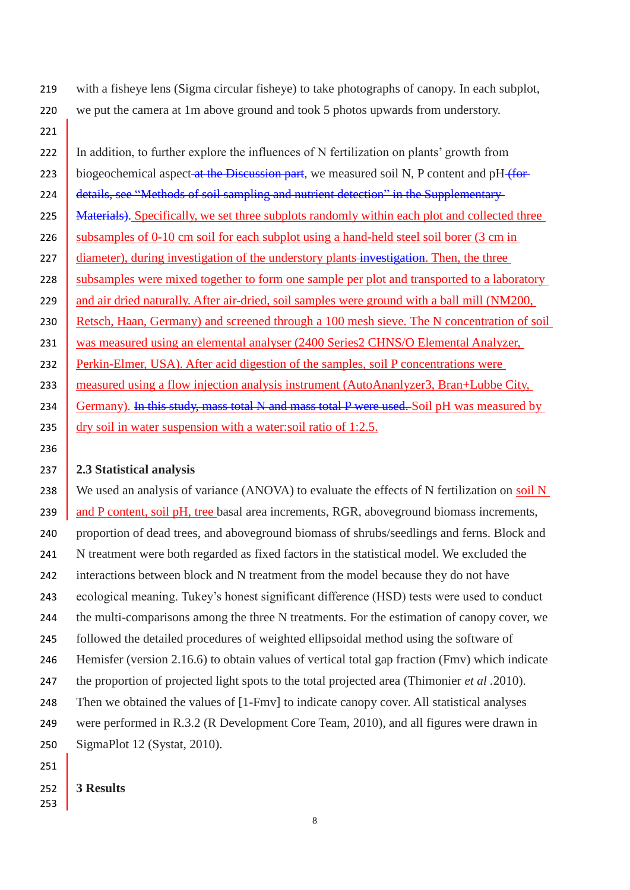219 with a fisheye lens (Sigma circular fisheye) to take photographs of canopy. In each subplot, 220 we put the camera at 1m above ground and took 5 photos upwards from understory.

222 In addition, to further explore the influences of N fertilization on plants' growth from 223 biogeochemical aspect at the Discussion part, we measured soil N, P content and pH (for-224 details, see "Methods of soil sampling and nutrient detection" in the Supplementary-225 Materials). Specifically, we set three subplots randomly within each plot and collected three 226 subsamples of 0-10 cm soil for each subplot using a hand-held steel soil borer (3 cm in 227 diameter), during investigation of the understory plants investigation. Then, the three 228 subsamples were mixed together to form one sample per plot and transported to a laboratory 229 and air dried naturally. After air-dried, soil samples were ground with a ball mill (NM200, 230 Retsch, Haan, Germany) and screened through a 100 mesh sieve. The N concentration of soil 231 was measured using an elemental analyser (2400 Series2 CHNS/O Elemental Analyzer, 232 Perkin-Elmer, USA). After acid digestion of the samples, soil P concentrations were 233 measured using a flow injection analysis instrument (AutoAnanlyzer3, Bran+Lubbe City, 234 Germany). In this study, mass total N and mass total P were used. Soil pH was measured by 235 dry soil in water suspension with a water:soil ratio of 1:2.5.

### 237 **2.3 Statistical analysis**

238 We used an analysis of variance (ANOVA) to evaluate the effects of N fertilization on soil N 239 and P content, soil pH, tree basal area increments, RGR, aboveground biomass increments, proportion of dead trees, and aboveground biomass of shrubs/seedlings and ferns. Block and N treatment were both regarded as fixed factors in the statistical model. We excluded the interactions between block and N treatment from the model because they do not have ecological meaning. Tukey's honest significant difference (HSD) tests were used to conduct the multi-comparisons among the three N treatments. For the estimation of canopy cover, we followed the detailed procedures of weighted ellipsoidal method using the software of Hemisfer (version 2.16.6) to obtain values of vertical total gap fraction (Fmv) which indicate the proportion of projected light spots to the total projected area (Thimonier *et al .*2010). 248 Then we obtained the values of [1-Fmv] to indicate canopy cover. All statistical analyses were performed in R.3.2 (R Development Core Team, 2010), and all figures were drawn in SigmaPlot 12 (Systat, 2010).

251

221

236

## 252 **3 Results**

253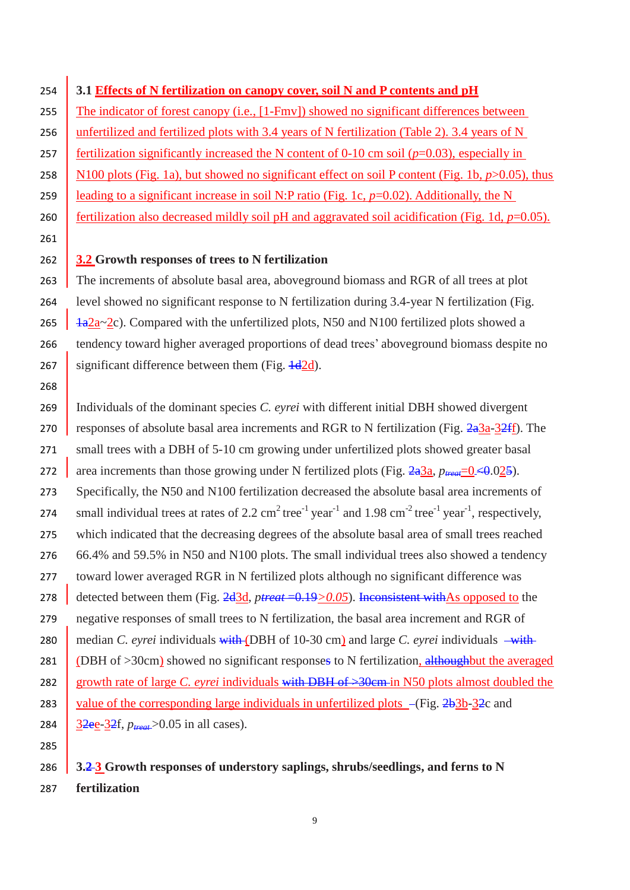261 268 285

## 254 **3.1 Effects of N fertilization on canopy cover, soil N and P contents and pH**

255 The indicator of forest canopy (i.e.,  $[1-Fmv]$ ) showed no significant differences between 256 unfertilized and fertilized plots with 3.4 years of N fertilization (Table 2). 3.4 years of N 257 fertilization significantly increased the N content of 0-10 cm soil  $(p=0.03)$ , especially in 258 N100 plots (Fig. 1a), but showed no significant effect on soil P content (Fig. 1b,  $p > 0.05$ ), thus 259 **leading to a significant increase in soil N:P ratio (Fig. 1c,**  $p=0.02$ **). Additionally, the N** 260 fertilization also decreased mildly soil pH and aggravated soil acidification (Fig. 1d,  $p=0.05$ ).

### 262 **3.2 Growth responses of trees to N fertilization**

263 The increments of absolute basal area, above ground biomass and RGR of all trees at plot 264 level showed no significant response to N fertilization during 3.4-year N fertilization (Fig. 265  $\frac{1}{4}a^{2}a^{-2}c$ ). Compared with the unfertilized plots, N50 and N100 fertilized plots showed a 266 tendency toward higher averaged proportions of dead trees' aboveground biomass despite no 267 significant difference between them (Fig.  $\frac{1}{4}$ d).

269 Individuals of the dominant species *C. eyrei* with different initial DBH showed divergent 270 responses of absolute basal area increments and RGR to N fertilization (Fig.  $2a3a-32ff$ ). The 271 small trees with a DBH of 5-10 cm growing under unfertilized plots showed greater basal 272 area increments than those growing under N fertilized plots (Fig.  $2a^3a$ ,  $p_{\text{treat}} = 0 \leq 0.025$ ). 273 Specifically, the N50 and N100 fertilization decreased the absolute basal area increments of 274 small individual trees at rates of 2.2 cm<sup>2</sup> tree<sup>-1</sup> year<sup>-1</sup> and 1.98 cm<sup>-2</sup> tree<sup>-1</sup> year<sup>-1</sup>, respectively, 275 which indicated that the decreasing degrees of the absolute basal area of small trees reached 276 66.4% and 59.5% in N50 and N100 plots. The small individual trees also showed a tendency 277 toward lower averaged RGR in N fertilized plots although no significant difference was 278 detected between them (Fig. 2d3d, *ptreat* = 0.19 > 0.05). Inconsistent with As opposed to the 279 negative responses of small trees to N fertilization, the basal area increment and RGR of 280 median *C. eyrei* individuals with (DBH of 10-30 cm) and large *C. eyrei* individuals  $-\text{with}$ 281 (DBH of  $>$ 30cm) showed no significant responses to N fertilization, althoughbut the averaged 282 growth rate of large *C. eyrei* individuals with DBH of  $\rightarrow$ 30cm in N50 plots almost doubled the 283 value of the corresponding large individuals in unfertilized plots  $-\frac{Fig. 2b3b-32c}{2c}$  and 284 3<del>2ee</del>-3<del>2</del>f,  $p_{\text{treat}} > 0.05$  in all cases).

# 286 **3.2 3 Growth responses of understory saplings, shrubs/seedlings, and ferns to N**

287 **fertilization**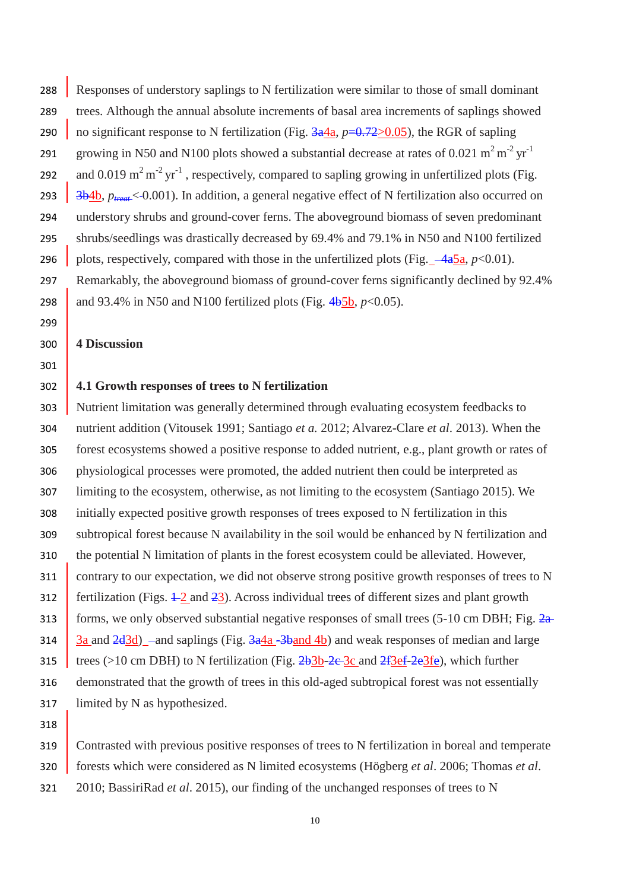288 Responses of understory saplings to N fertilization were similar to those of small dominant trees*.* Although the annual absolute increments of basal area increments of saplings showed 290 no significant response to N fertilization (Fig.  $\frac{3a}{a}$ ,  $p=0.72>0.05$ ), the RGR of sapling growing in N50 and N100 plots showed a substantial decrease at rates of 0.021 m<sup>2</sup> m<sup>-2</sup> yr<sup>-1</sup> 292 and 0.019 m<sup>2</sup> m<sup>-2</sup> yr<sup>-1</sup>, respectively, compared to sapling growing in unfertilized plots (Fig. 293 3b4b,  $p_{\text{treat}}$  < 0.001). In addition, a general negative effect of N fertilization also occurred on understory shrubs and ground-cover ferns. The aboveground biomass of seven predominant shrubs/seedlings was drastically decreased by 69.4% and 79.1% in N50 and N100 fertilized 296 plots, respectively, compared with those in the unfertilized plots (Fig.  $-4a5a$ ,  $p<0.01$ ). Remarkably, the aboveground biomass of ground-cover ferns significantly declined by 92.4% 298 and 93.4% in N50 and N100 fertilized plots (Fig.  $4b_5b$ ,  $p<0.05$ ).

#### **4 Discussion**

#### 

#### **4.1 Growth responses of trees to N fertilization**

 Nutrient limitation was generally determined through evaluating ecosystem feedbacks to nutrient addition (Vitousek 1991; Santiago *et a.* 2012; Alvarez-Clare *et al*. 2013). When the forest ecosystems showed a positive response to added nutrient, e.g., plant growth or rates of physiological processes were promoted, the added nutrient then could be interpreted as limiting to the ecosystem, otherwise, as not limiting to the ecosystem (Santiago 2015). We initially expected positive growth responses of trees exposed to N fertilization in this subtropical forest because N availability in the soil would be enhanced by N fertilization and the potential N limitation of plants in the forest ecosystem could be alleviated. However, 311 contrary to our expectation, we did not observe strong positive growth responses of trees to N 312 fertilization (Figs.  $\pm 2$  and  $\pm 3$ ). Across individual trees of different sizes and plant growth 313 forms, we only observed substantial negative responses of small trees (5-10 cm DBH; Fig.  $2a$ 314 3a and  $\frac{2d3d}{a}$  -and saplings (Fig.  $\frac{3a4a}{b}$  -3band 4b) and weak responses of median and large 315 trees (>10 cm DBH) to N fertilization (Fig.  $2b3b-2c-3c$  and  $2f3ef-2e3fe$ ), which further demonstrated that the growth of trees in this old-aged subtropical forest was not essentially limited by N as hypothesized.

319 Contrasted with previous positive responses of trees to N fertilization in boreal and temperate forests which were considered as N limited ecosystems (Högberg *et al*. 2006; Thomas *et al*.

- 2010; BassiriRad *et al*. 2015), our finding of the unchanged responses of trees to N
	-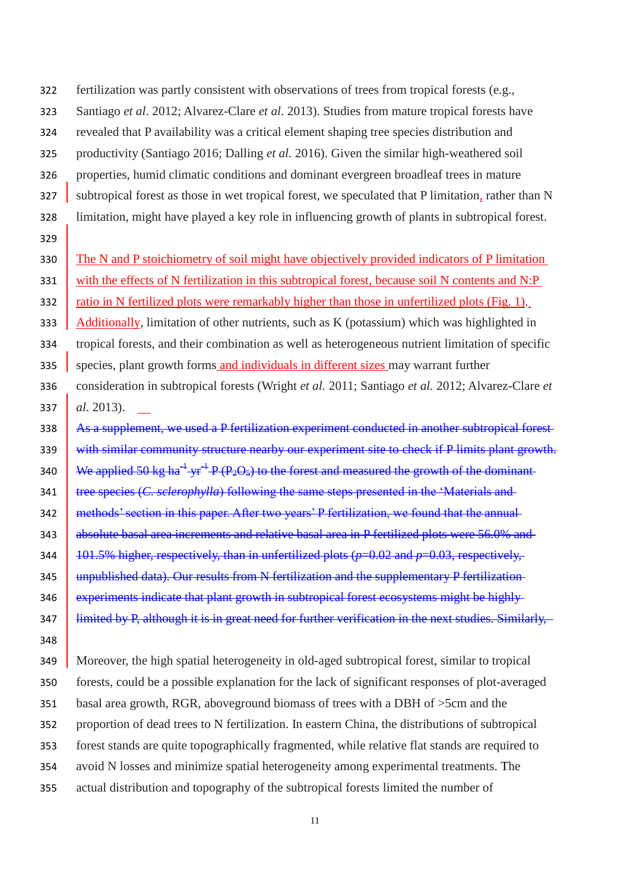- fertilization was partly consistent with observations of trees from tropical forests (e.g.,
- Santiago *et al*. 2012; Alvarez-Clare *et al*. 2013). Studies from mature tropical forests have
- revealed that P availability was a critical element shaping tree species distribution and
- productivity (Santiago 2016; Dalling *et al.* 2016). Given the similar high-weathered soil
- properties, humid climatic conditions and dominant evergreen broadleaf trees in mature
- 327 subtropical forest as those in wet tropical forest, we [speculated](javascript:void(0);) that P limitation, rather than N
- limitation, might have played a key role in influencing growth of plants in subtropical forest.
- 

330 The N and P stoichiometry of soil might have objectively provided indicators of P limitation

331 with the effects of N fertilization in this subtropical forest, because soil N contents and N:P

332 ratio in N fertilized plots were remarkably higher than those in unfertilized plots (Fig. 1).

333 Additionally, limitation of other nutrients, such as K (potassium) which was highlighted in

tropical forests, and their combination as well as heterogeneous nutrient limitation of specific

- 335 species, plant growth forms and individuals in different sizes may warrant further
- consideration in subtropical forests (Wright *et al.* 2011; Santiago *et al.* 2012; Alvarez-Clare *et al*. 2013).
- 338 As a supplement, we used a P fertilization experiment conducted in another subtropical forest-339 with similar community structure nearby our experiment site to check if P limits plant growth. 340 We applied 50 kg ha<sup>-1</sup> yr<sup>-1</sup> P (P<sub>2</sub>O<sub>5</sub>) to the forest and measured the growth of the dominant **tree** species (*C. sclerophylla*) following the same steps presented in the 'Materials and 342 methods' section in this paper. After two years' P fertilization, we found that the annual-343 absolute basal area increments and relative basal area in P fertilized plots were 56.0% and 344 101.5% higher, respectively, than in unfertilized plots ( $p=0.02$  and  $p=0.03$ , respectively. 345 unpublished data). Our results from N fertilization and the supplementary P fertilization-**experiments indicate that plant growth in subtropical forest ecosystems might be highly** limited by P, although it is in great need for further verification in the next studies. Similarly,
- 

 Moreover, the high spatial heterogeneity in old-aged subtropical forest, similar to tropical forests, could be a possible explanation for the lack of significant responses of plot-averaged basal area growth, RGR, aboveground biomass of trees with a DBH of >5cm and the proportion of dead trees to N fertilization. In eastern China, the distributions of subtropical forest stands are quite topographically fragmented, while relative flat stands are required to avoid N losses and minimize spatial heterogeneity among experimental treatments. The actual distribution and topography of the subtropical forests limited the number of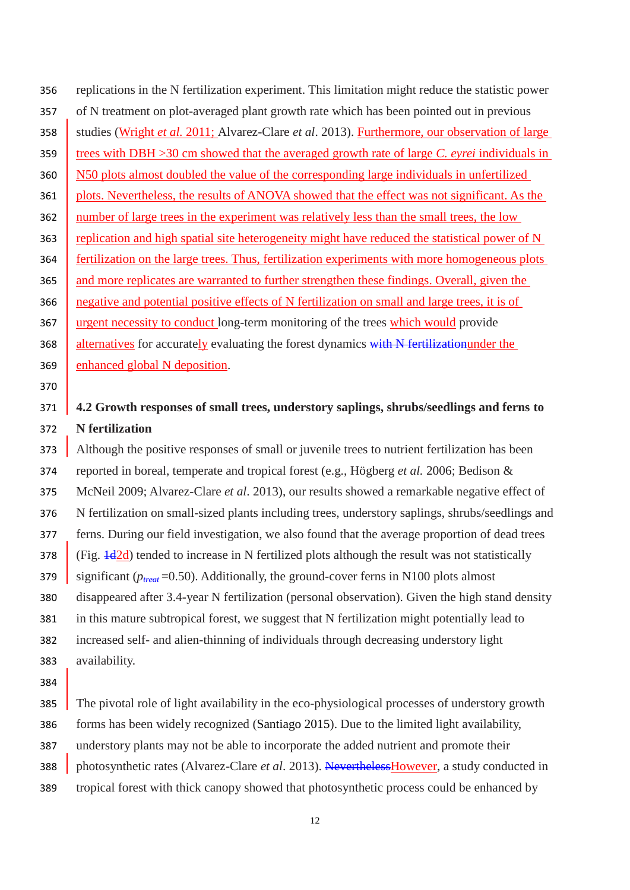replications in the N fertilization experiment. This limitation might reduce the statistic power of N treatment on plot-averaged plant growth rate which has been pointed out in previous 358 studies (Wright *et al.* 2011; Alvarez-Clare *et al.* 2013). Furthermore, our observation of large trees with DBH >30 cm showed that the averaged growth rate of large *C. eyrei* individuals in 360 N50 plots almost doubled the value of the corresponding large individuals in unfertilized 361 plots. Nevertheless, the results of ANOVA showed that the effect was not significant. As the number of large trees in the experiment was relatively less than the small trees, the low 363 replication and high spatial site heterogeneity might have reduced the statistical power of N fertilization on the large trees. Thus, fertilization experiments with more homogeneous plots 365 and more replicates are warranted to further strengthen these findings. Overall, given the negative and potential positive effects of N fertilization on small and large trees, it is of 367 urgent necessity to conduct long-term monitoring of the trees which would provide 368 alternatives for accurately evaluating the forest dynamics with N fertilizationunder the enhanced global N deposition.

## 

## **4.2 Growth responses of small trees, understory saplings, shrubs/seedlings and ferns to N fertilization**

373 Although the positive responses of small or juvenile trees to nutrient fertilization has been reported in boreal, temperate and tropical forest (e.g., Högberg *et al.* 2006; Bedison & McNeil 2009; Alvarez-Clare *et al*. 2013), our results showed a remarkable negative effect of N fertilization on small-sized plants including trees, understory saplings, shrubs/seedlings and ferns. During our field investigation, we also found that the average proportion of dead trees (Fig.  $\frac{1}{42d}$ ) tended to increase in N fertilized plots although the result was not statistically significant ( $p_{\text{treat}}$ =0.50). Additionally, the ground-cover ferns in N100 plots almost disappeared after 3.4-year N fertilization (personal observation). Given the high stand density in this mature subtropical forest, we suggest that N fertilization might potentially lead to increased self- and alien-thinning of individuals through decreasing understory light availability.

385 The pivotal role of light availability in the eco-physiological processes of understory growth forms has been widely recognized (Santiago 2015). Due to the limited light availability, understory plants may not be able to incorporate the added nutrient and promote their photosynthetic rates (Alvarez-Clare *et al*. 2013). NeverthelessHowever, a study conducted in tropical forest with thick canopy showed that photosynthetic process could be enhanced by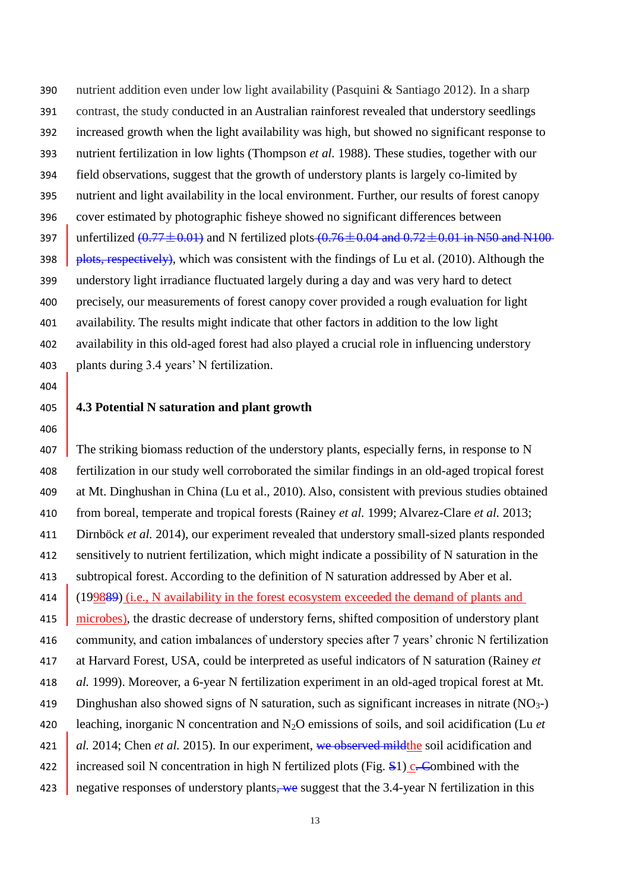nutrient addition even under low light availability (Pasquini & Santiago 2012). In a sharp contrast, the study conducted in an Australian rainforest revealed that understory seedlings increased growth when the light availability was high, but showed no significant response to nutrient fertilization in low lights (Thompson *et al.* 1988). These studies, together with our field observations, suggest that the growth of understory plants is largely co-limited by nutrient and light availability in the local environment. Further, our results of forest canopy cover estimated by photographic fisheye showed no significant differences between 397 unfertilized  $(0.77 \pm 0.01)$  and N fertilized plots  $(0.76 \pm 0.04$  and  $0.72 \pm 0.01$  in N50 and N100  $\beta$  plots, respectively), which was consistent with the findings of Lu et al. (2010). Although the understory light irradiance fluctuated largely during a day and was very hard to detect precisely, our measurements of forest canopy cover provided a rough evaluation for light availability. The results might indicate that other factors in addition to the low light availability in this old-aged forest had also played a crucial role in influencing understory plants during 3.4 years' N fertilization.

#### **4.3 Potential N saturation and plant growth**

407 The striking biomass reduction of the understory plants, especially ferns, in response to N fertilization in our study well corroborated the similar findings in an old-aged tropical forest at Mt. Dinghushan in China (Lu et al., 2010). Also, consistent with previous studies obtained from boreal, temperate and tropical forests (Rainey *et al.* 1999; Alvarez-Clare *et al.* 2013; Dirnböck *et al.* 2014), our experiment revealed that understory small-sized plants responded sensitively to nutrient fertilization, which might indicate a possibility of N saturation in the subtropical forest. According to the definition of N saturation addressed by Aber et al. 414 (199889) (i.e., N availability in the forest ecosystem exceeded the demand of plants and 415 microbes), the drastic decrease of understory ferns, shifted composition of understory plant community, and cation imbalances of understory species after 7 years' chronic N fertilization at Harvard Forest, USA, could be interpreted as useful indicators of N saturation (Rainey *et al.* 1999). Moreover, a 6-year N fertilization experiment in an old-aged tropical forest at Mt. 419 Dinghushan also showed signs of N saturation, such as significant increases in nitrate  $(NO<sub>3</sub>-)$  leaching, inorganic N concentration and N2O emissions of soils, and soil acidification (Lu *et al.* 2014; Chen *et al.* 2015). In our experiment, we observed mild the soil acidification and 422 increased soil N concentration in high N fertilized plots (Fig.  $\frac{S_1}{s}$ . Combined with the 423 negative responses of understory plants, we suggest that the 3.4-year N fertilization in this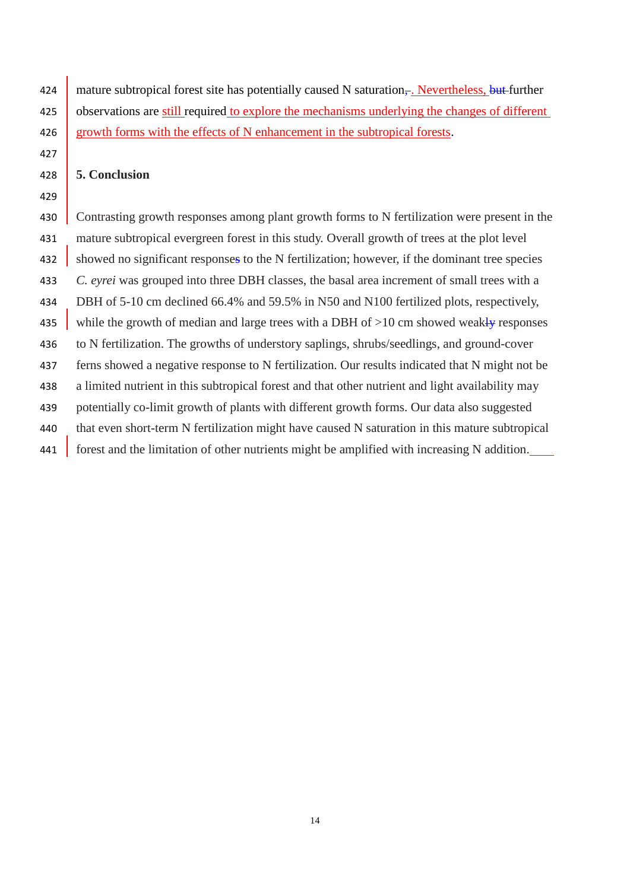424 mature subtropical forest site has potentially caused N saturation<sub> $\tau$ </sub>. Nevertheless, but further 425 observations are still required to explore the mechanisms underlying the changes of different 426 growth forms with the effects of N enhancement in the subtropical forests.

#### **5. Conclusion**

430 Contrasting growth responses among plant growth forms to N fertilization were present in the mature subtropical evergreen forest in this study. Overall growth of trees at the plot level 432 showed no significant responses to the N fertilization; however, if the dominant tree species *C. eyrei* was grouped into three DBH classes, the basal area increment of small trees with a DBH of 5-10 cm declined 66.4% and 59.5% in N50 and N100 fertilized plots, respectively, 435 while the growth of median and large trees with a DBH of  $>10$  cm showed weakly responses to N fertilization. The growths of understory saplings, shrubs/seedlings, and ground-cover ferns showed a negative response to N fertilization. Our results indicated that N might not be a limited nutrient in this subtropical forest and that other nutrient and light availability may potentially co-limit growth of plants with different growth forms. Our data also suggested that even short-term N fertilization might have caused N saturation in this mature subtropical forest and the limitation of other nutrients might be amplified with increasing N addition.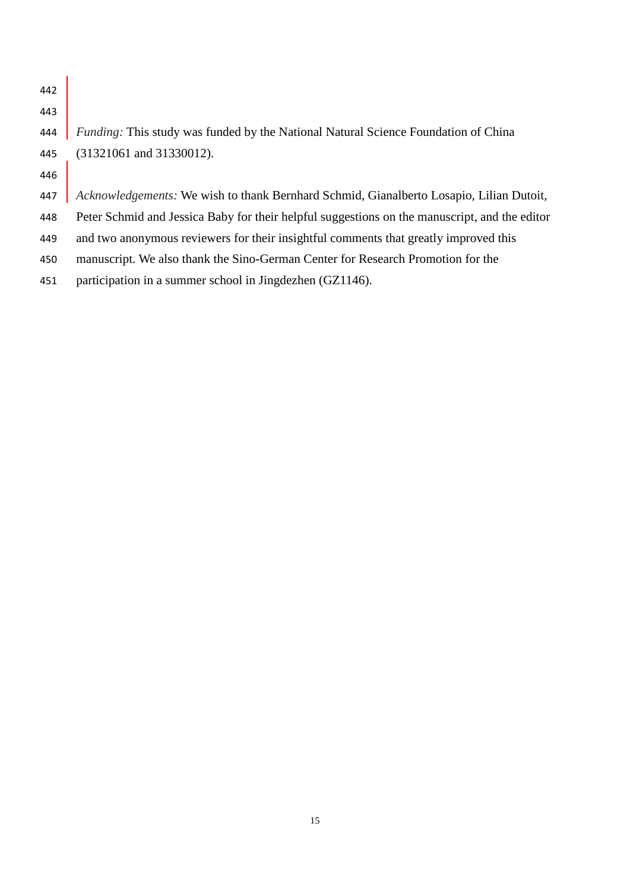| 442 |                                                                                               |
|-----|-----------------------------------------------------------------------------------------------|
| 443 |                                                                                               |
| 444 | <i>Funding:</i> This study was funded by the National Natural Science Foundation of China     |
| 445 | $(31321061$ and $31330012)$ .                                                                 |
| 446 |                                                                                               |
| 447 | Acknowledgements: We wish to thank Bernhard Schmid, Gianalberto Losapio, Lilian Dutoit,       |
| 448 | Peter Schmid and Jessica Baby for their helpful suggestions on the manuscript, and the editor |
| 449 | and two anonymous reviewers for their insightful comments that greatly improved this          |
| 450 | manuscript. We also thank the Sino-German Center for Research Promotion for the               |
| 451 | participation in a summer school in Jingdezhen (GZ1146).                                      |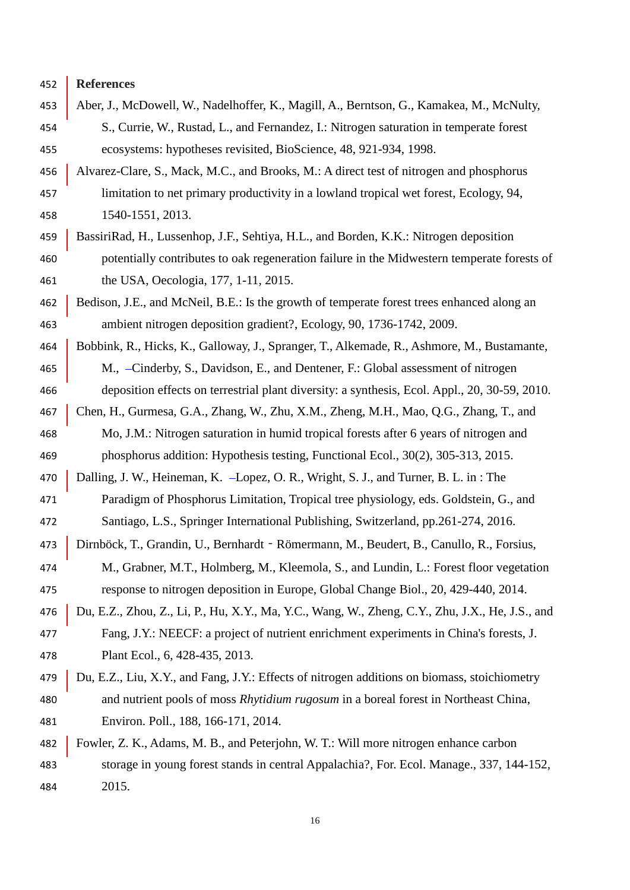**References**

- 453 Aber, J., McDowell, W., Nadelhoffer, K., Magill, A., Berntson, G., Kamakea, M., McNulty, S., Currie, W., Rustad, L., and Fernandez, I.: Nitrogen saturation in temperate forest ecosystems: hypotheses revisited, BioScience, 48, 921-934, 1998.
- Alvarez-Clare, S., Mack, M.C., and Brooks, M.: A direct test of nitrogen and phosphorus limitation to net primary productivity in a lowland tropical wet forest, Ecology, 94, 1540-1551, 2013.
- BassiriRad, H., Lussenhop, J.F., Sehtiya, H.L., and Borden, K.K.: Nitrogen deposition potentially contributes to oak regeneration failure in the Midwestern temperate forests of the USA, Oecologia, 177, 1-11, 2015.
- 462 Bedison, J.E., and McNeil, B.E.: Is the growth of temperate forest trees enhanced along an ambient nitrogen deposition gradient?, Ecology, 90, 1736-1742, 2009.
- 464 | Bobbink, R., Hicks, K., Galloway, J., Spranger, T., Alkemade, R., Ashmore, M., Bustamante, M., Cinderby, S., Davidson, E., and Dentener, F.: Global assessment of nitrogen
- deposition effects on terrestrial plant diversity: a synthesis, Ecol. Appl., 20, 30-59, 2010.
- Chen, H., Gurmesa, G.A., Zhang, W., Zhu, X.M., Zheng, M.H., Mao, Q.G., Zhang, T., and Mo, J.M.: Nitrogen saturation in humid tropical forests after 6 years of nitrogen and phosphorus addition: Hypothesis testing, Functional Ecol., 30(2), 305-313, 2015.
- 470 Dalling, J. W., Heineman, K. -Lopez, O. R., Wright, S. J., and Turner, B. L. in : The
- Paradigm of Phosphorus Limitation, Tropical tree physiology, eds. Goldstein, G., and Santiago, L.S., Springer International Publishing, Switzerland, pp.261-274, 2016.
- Dirnböck, T., Grandin, U., Bernhardt‐Römermann, M., Beudert, B., Canullo, R., Forsius,
- M., Grabner, M.T., Holmberg, M., Kleemola, S., and Lundin, L.: Forest floor vegetation response to nitrogen deposition in Europe, Global Change Biol., 20, 429-440, 2014.
- Du, E.Z., Zhou, Z., Li, P., Hu, X.Y., Ma, Y.C., Wang, W., Zheng, C.Y., Zhu, J.X., He, J.S., and Fang, J.Y.: NEECF: a project of nutrient enrichment experiments in China's forests, J. Plant Ecol., 6, 428-435, 2013.
- Du, E.Z., Liu, X.Y., and Fang, J.Y.: Effects of nitrogen additions on biomass, stoichiometry and nutrient pools of moss *Rhytidium rugosum* in a boreal forest in Northeast China, Environ. Poll., 188, 166-171, 2014.
- Fowler, Z. K., Adams, M. B., and Peterjohn, W. T.: Will more nitrogen enhance carbon storage in young forest stands in central Appalachia?, For. Ecol. Manage., 337, 144-152, 2015.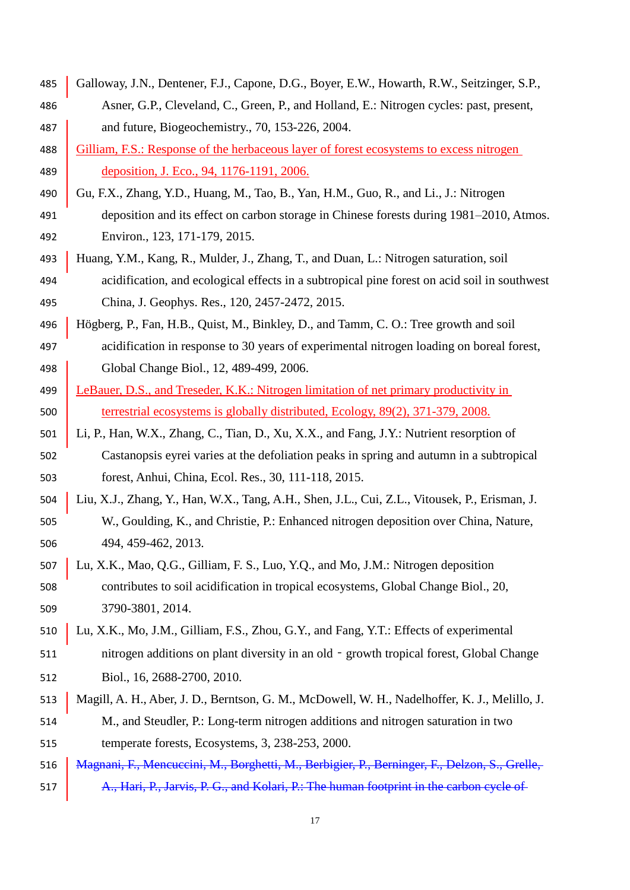Galloway, J.N., Dentener, F.J., Capone, D.G., Boyer, E.W., Howarth, R.W., Seitzinger, S.P., Asner, G.P., Cleveland, C., Green, P., and Holland, E.: Nitrogen cycles: past, present, 487 and future, Biogeochemistry., 70, 153-226, 2004. 488 Gilliam, F.S.: Response of the herbaceous layer of forest ecosystems to excess nitrogen deposition, J. Eco., 94, 1176-1191, 2006. 490 Gu, F.X., Zhang, Y.D., Huang, M., Tao, B., Yan, H.M., Guo, R., and Li., J.: Nitrogen deposition and its effect on carbon storage in Chinese forests during 1981–2010, Atmos. Environ., 123, 171-179, 2015. Huang, Y.M., Kang, R., Mulder, J., Zhang, T., and Duan, L.: Nitrogen saturation, soil acidification, and ecological effects in a subtropical pine forest on acid soil in southwest China, J. Geophys. Res., 120, 2457-2472, 2015. Högberg, P., Fan, H.B., Quist, M., Binkley, D., and Tamm, C. O.: Tree growth and soil acidification in response to 30 years of experimental nitrogen loading on boreal forest, Global Change Biol., 12, 489-499, 2006. 499 LeBauer, D.S., and Treseder, K.K.: Nitrogen limitation of net primary productivity in terrestrial ecosystems is globally distributed, Ecology, 89(2), 371-379, 2008. Li, P., Han, W.X., Zhang, C., Tian, D., Xu, X.X., and Fang, J.Y.: Nutrient resorption of Castanopsis eyrei varies at the defoliation peaks in spring and autumn in a subtropical forest, Anhui, China, Ecol. Res., 30, 111-118, 2015. Liu, X.J., Zhang, Y., Han, W.X., Tang, A.H., Shen, J.L., Cui, Z.L., Vitousek, P., Erisman, J. W., Goulding, K., and Christie, P.: Enhanced nitrogen deposition over China, Nature, 494, 459-462, 2013. Lu, X.K., Mao, Q.G., Gilliam, F. S., Luo, Y.Q., and Mo, J.M.: Nitrogen deposition contributes to soil acidification in tropical ecosystems, Global Change Biol., 20, 3790-3801, 2014. Lu, X.K., Mo, J.M., Gilliam, F.S., Zhou, G.Y., and Fang, Y.T.: Effects of experimental 511 nitrogen additions on plant diversity in an old - growth tropical forest, Global Change Biol., 16, 2688-2700, 2010. Magill, A. H., Aber, J. D., Berntson, G. M., McDowell, W. H., Nadelhoffer, K. J., Melillo, J. M., and Steudler, P.: Long-term nitrogen additions and nitrogen saturation in two temperate forests, Ecosystems, 3, 238-253, 2000. 516 | Magnani, F., Mencuccini, M., Borghetti, M., Berbigier, P., Berninger, F., Delzon, S., Grelle, 517 A., Hari, P., Jarvis, P. G., and Kolari, P.: The human footprint in the carbon cycle of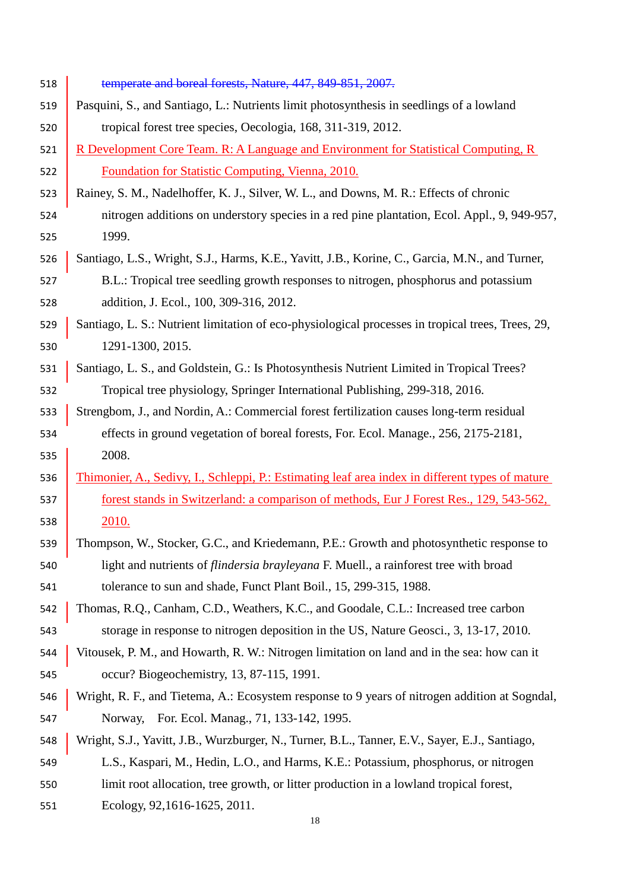| 518 | temperate and boreal forests, Nature, 447, 849-851, 2007.                                         |
|-----|---------------------------------------------------------------------------------------------------|
| 519 | Pasquini, S., and Santiago, L.: Nutrients limit photosynthesis in seedlings of a lowland          |
| 520 | tropical forest tree species, Oecologia, 168, 311-319, 2012.                                      |
| 521 | R Development Core Team. R: A Language and Environment for Statistical Computing, R               |
| 522 | Foundation for Statistic Computing, Vienna, 2010.                                                 |
| 523 | Rainey, S. M., Nadelhoffer, K. J., Silver, W. L., and Downs, M. R.: Effects of chronic            |
| 524 | nitrogen additions on understory species in a red pine plantation, Ecol. Appl., 9, 949-957,       |
| 525 | 1999.                                                                                             |
| 526 | Santiago, L.S., Wright, S.J., Harms, K.E., Yavitt, J.B., Korine, C., Garcia, M.N., and Turner,    |
| 527 | B.L.: Tropical tree seedling growth responses to nitrogen, phosphorus and potassium               |
| 528 | addition, J. Ecol., 100, 309-316, 2012.                                                           |
| 529 | Santiago, L. S.: Nutrient limitation of eco-physiological processes in tropical trees, Trees, 29, |
| 530 | 1291-1300, 2015.                                                                                  |
| 531 | Santiago, L. S., and Goldstein, G.: Is Photosynthesis Nutrient Limited in Tropical Trees?         |
| 532 | Tropical tree physiology, Springer International Publishing, 299-318, 2016.                       |
| 533 | Strengbom, J., and Nordin, A.: Commercial forest fertilization causes long-term residual          |
| 534 | effects in ground vegetation of boreal forests, For. Ecol. Manage., 256, 2175-2181,               |
| 535 | 2008.                                                                                             |
| 536 | Thimonier, A., Sedivy, I., Schleppi, P.: Estimating leaf area index in different types of mature  |
| 537 | forest stands in Switzerland: a comparison of methods, Eur J Forest Res., 129, 543-562,           |
| 538 | 2010.                                                                                             |
| 539 | Thompson, W., Stocker, G.C., and Kriedemann, P.E.: Growth and photosynthetic response to          |
| 540 | light and nutrients of <i>flindersia brayleyana</i> F. Muell., a rainforest tree with broad       |
| 541 | tolerance to sun and shade, Funct Plant Boil., 15, 299-315, 1988.                                 |
| 542 | Thomas, R.Q., Canham, C.D., Weathers, K.C., and Goodale, C.L.: Increased tree carbon              |
| 543 | storage in response to nitrogen deposition in the US, Nature Geosci., 3, 13-17, 2010.             |
| 544 | Vitousek, P. M., and Howarth, R. W.: Nitrogen limitation on land and in the sea: how can it       |
| 545 | occur? Biogeochemistry, 13, 87-115, 1991.                                                         |
| 546 | Wright, R. F., and Tietema, A.: Ecosystem response to 9 years of nitrogen addition at Sogndal,    |
| 547 | For. Ecol. Manag., 71, 133-142, 1995.<br>Norway,                                                  |
| 548 | Wright, S.J., Yavitt, J.B., Wurzburger, N., Turner, B.L., Tanner, E.V., Sayer, E.J., Santiago,    |
| 549 | L.S., Kaspari, M., Hedin, L.O., and Harms, K.E.: Potassium, phosphorus, or nitrogen               |
| 550 | limit root allocation, tree growth, or litter production in a lowland tropical forest,            |
| 551 | Ecology, 92,1616-1625, 2011.                                                                      |
|     | 18                                                                                                |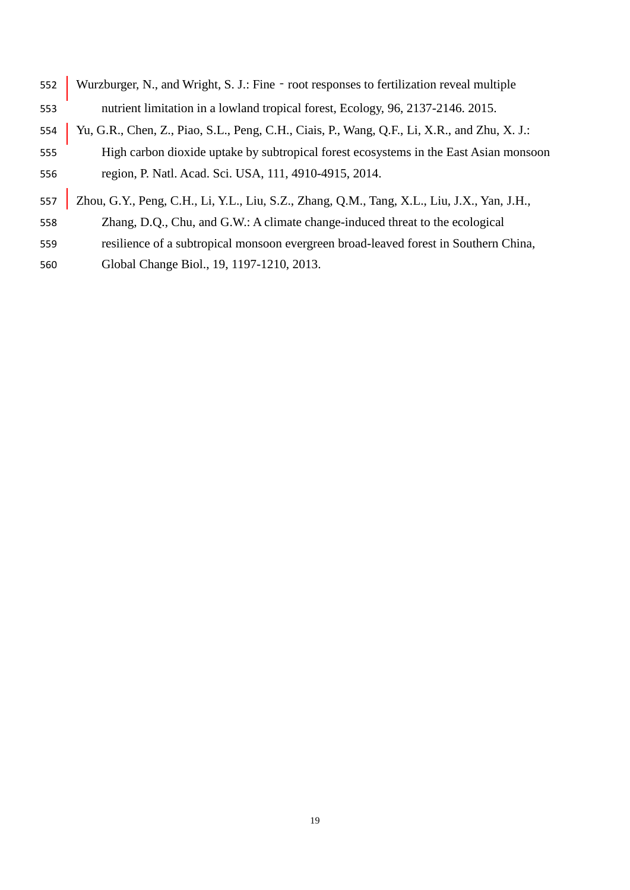| 552 | Wurzburger, N., and Wright, S. J.: Fine - root responses to fertilization reveal multiple    |
|-----|----------------------------------------------------------------------------------------------|
| 553 | nutrient limitation in a lowland tropical forest, Ecology, 96, 2137-2146. 2015.              |
| 554 | Yu, G.R., Chen, Z., Piao, S.L., Peng, C.H., Ciais, P., Wang, Q.F., Li, X.R., and Zhu, X. J.: |
| 555 | High carbon dioxide uptake by subtropical forest ecosystems in the East Asian monsoon        |
| 556 | region, P. Natl. Acad. Sci. USA, 111, 4910-4915, 2014.                                       |
| 557 | Zhou, G.Y., Peng, C.H., Li, Y.L., Liu, S.Z., Zhang, Q.M., Tang, X.L., Liu, J.X., Yan, J.H.,  |
| 558 | Zhang, D.Q., Chu, and G.W.: A climate change-induced threat to the ecological                |
| 559 | resilience of a subtropical monsoon evergreen broad-leaved forest in Southern China,         |
| 560 | Global Change Biol., 19, 1197-1210, 2013.                                                    |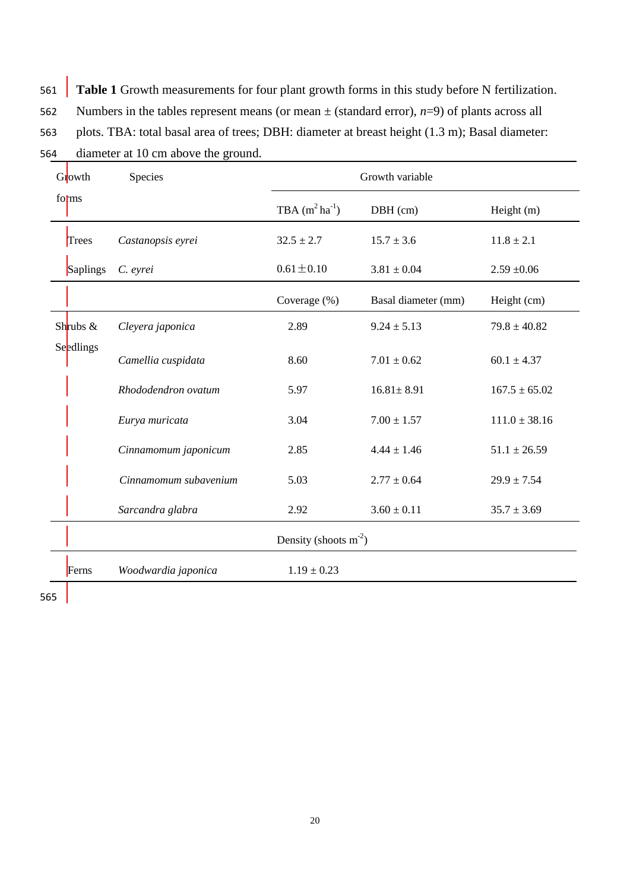561 **Table 1** Growth measurements for four plant growth forms in this study before N fertilization.

562 Numbers in the tables represent means (or mean  $\pm$  (standard error), *n*=9) of plants across all

563 plots. TBA: total basal area of trees; DBH: diameter at breast height (1.3 m); Basal diameter:

564 diameter at 10 cm above the ground.

| Growth     | Species               | Growth variable         |                     |                   |
|------------|-----------------------|-------------------------|---------------------|-------------------|
| forms      |                       | TBA $(m^2 ha^{-1})$     | DBH (cm)            | Height $(m)$      |
| Trees      | Castanopsis eyrei     | $32.5 \pm 2.7$          | $15.7 \pm 3.6$      | $11.8 \pm 2.1$    |
| Saplings   | C. eyrei              | $0.61 \pm 0.10$         | $3.81 \pm 0.04$     | $2.59 + 0.06$     |
|            |                       | Coverage (%)            | Basal diameter (mm) | Height (cm)       |
| Shrubs $&$ | Cleyera japonica      | 2.89                    | $9.24 \pm 5.13$     | $79.8 \pm 40.82$  |
| Seedlings  | Camellia cuspidata    | 8.60                    | $7.01 \pm 0.62$     | $60.1 \pm 4.37$   |
|            | Rhododendron ovatum   | 5.97                    | $16.81 \pm 8.91$    | $167.5 \pm 65.02$ |
|            | Eurya muricata        | 3.04                    | $7.00 \pm 1.57$     | $111.0 \pm 38.16$ |
|            | Cinnamomum japonicum  | 2.85                    | $4.44 \pm 1.46$     | $51.1 \pm 26.59$  |
|            | Cinnamomum subavenium | 5.03                    | $2.77 \pm 0.64$     | $29.9 \pm 7.54$   |
|            | Sarcandra glabra      | 2.92                    | $3.60 \pm 0.11$     | $35.7 \pm 3.69$   |
|            |                       | Density (shoots $m-2$ ) |                     |                   |
| Ferns      | Woodwardia japonica   | $1.19 \pm 0.23$         |                     |                   |

565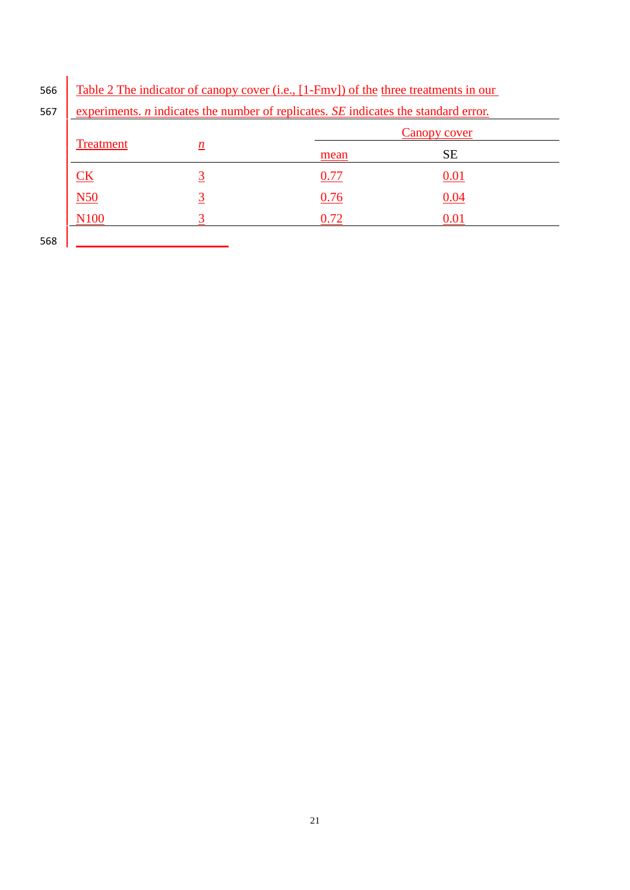| 566 Table 2 The indicator of canopy cover (i.e., [1-Fmv]) of the three treatments in our |  |
|------------------------------------------------------------------------------------------|--|
|------------------------------------------------------------------------------------------|--|

|                         |                 |      | Canopy cover |  |
|-------------------------|-----------------|------|--------------|--|
| <b>Treatment</b>        | $\underline{n}$ | mean | <b>SE</b>    |  |
| $\underline{\text{CK}}$ |                 | 0.77 | 0.01         |  |
| N50                     |                 | 0.76 | 0.04         |  |
| N <sub>100</sub>        |                 | 0.72 | 0.01         |  |
| 568                     |                 |      |              |  |

567 experiments. *n* indicates the number of replicates. *SE* indicates the standard error.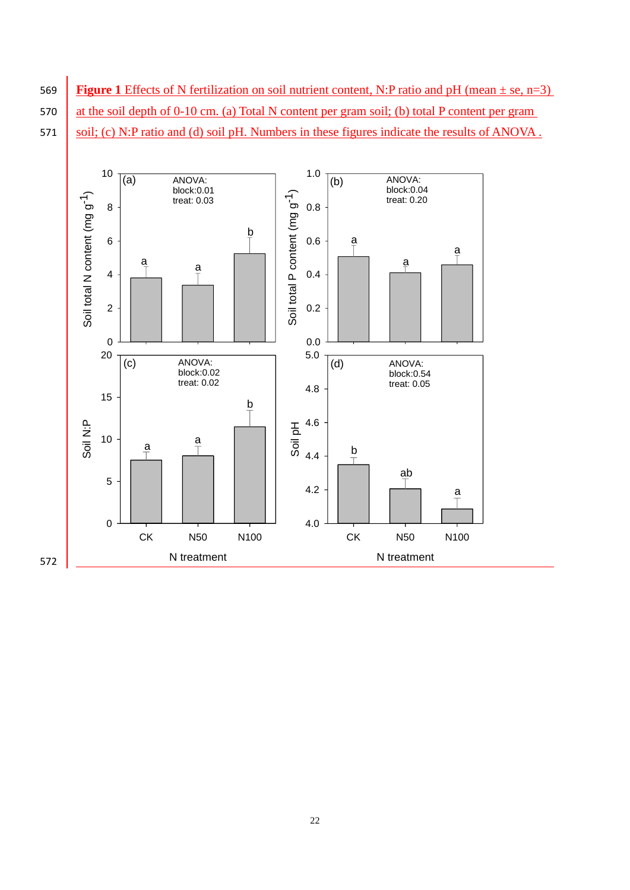569 **Figure 1** Effects of N fertilization on soil nutrient content, N:P ratio and pH (mean ± se, n=3) 570 at the soil depth of 0-10 cm. (a) Total N content per gram soil; (b) total P content per gram 571 \ soil; (c) N:P ratio and (d) soil pH. Numbers in these figures indicate the results of ANOVA.

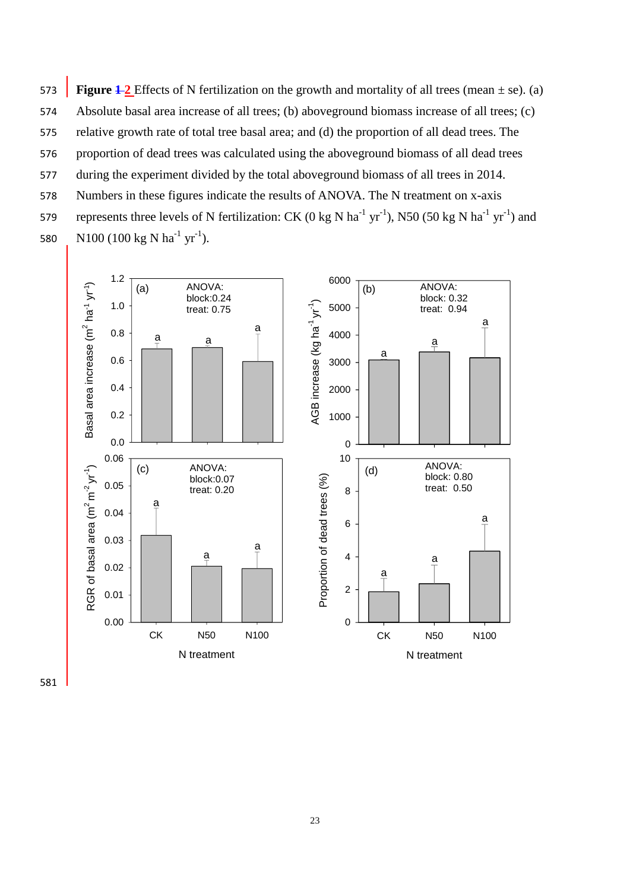**Figure 1-2** Effects of N fertilization on the growth and mortality of all trees (mean  $\pm$  se). (a) Absolute basal area increase of all trees; (b) aboveground biomass increase of all trees; (c) relative growth rate of total tree basal area; and (d) the proportion of all dead trees. The proportion of dead trees was calculated using the aboveground biomass of all dead trees during the experiment divided by the total aboveground biomass of all trees in 2014. Numbers in these figures indicate the results of ANOVA. The N treatment on x-axis 579 represents three levels of N fertilization: CK (0 kg N ha<sup>-1</sup> yr<sup>-1</sup>), N50 (50 kg N ha<sup>-1</sup> yr<sup>-1</sup>) and 580 N100 (100 kg N ha<sup>-1</sup> yr<sup>-1</sup>).

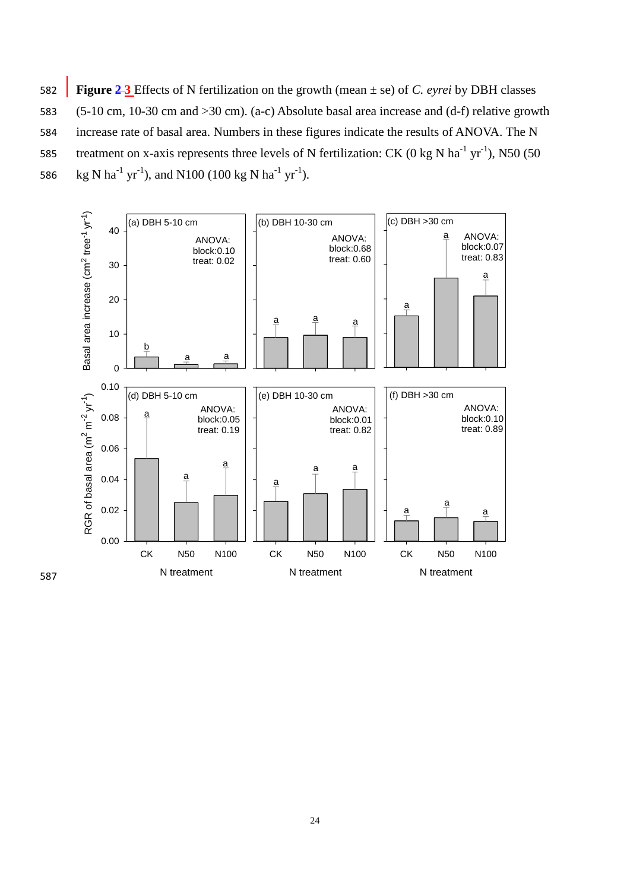582 **Figure 2 3** Effects of N fertilization on the growth (mean ± se) of *C. eyrei* by DBH classes 583 (5-10 cm, 10-30 cm and >30 cm). (a-c) Absolute basal area increase and (d-f) relative growth 584 increase rate of basal area. Numbers in these figures indicate the results of ANOVA. The N 585 treatment on x-axis represents three levels of N fertilization: CK (0 kg N ha<sup>-1</sup> yr<sup>-1</sup>), N50 (50 586 kg N ha<sup>-1</sup> yr<sup>-1</sup>), and N100 (100 kg N ha<sup>-1</sup> yr<sup>-1</sup>).



587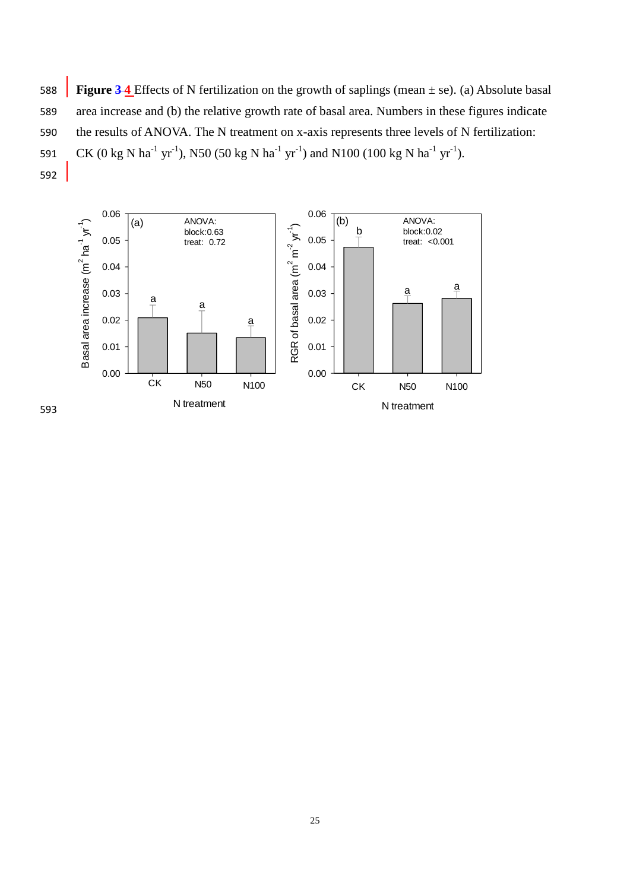**Figure 3-4** Effects of N fertilization on the growth of saplings (mean  $\pm$  se). (a) Absolute basal 589 area increase and (b) the relative growth rate of basal area. Numbers in these figures indicate 590 the results of ANOVA. The N treatment on x-axis represents three levels of N fertilization: 591 CK (0 kg N ha<sup>-1</sup> yr<sup>-1</sup>), N50 (50 kg N ha<sup>-1</sup> yr<sup>-1</sup>) and N100 (100 kg N ha<sup>-1</sup> yr<sup>-1</sup>). 592